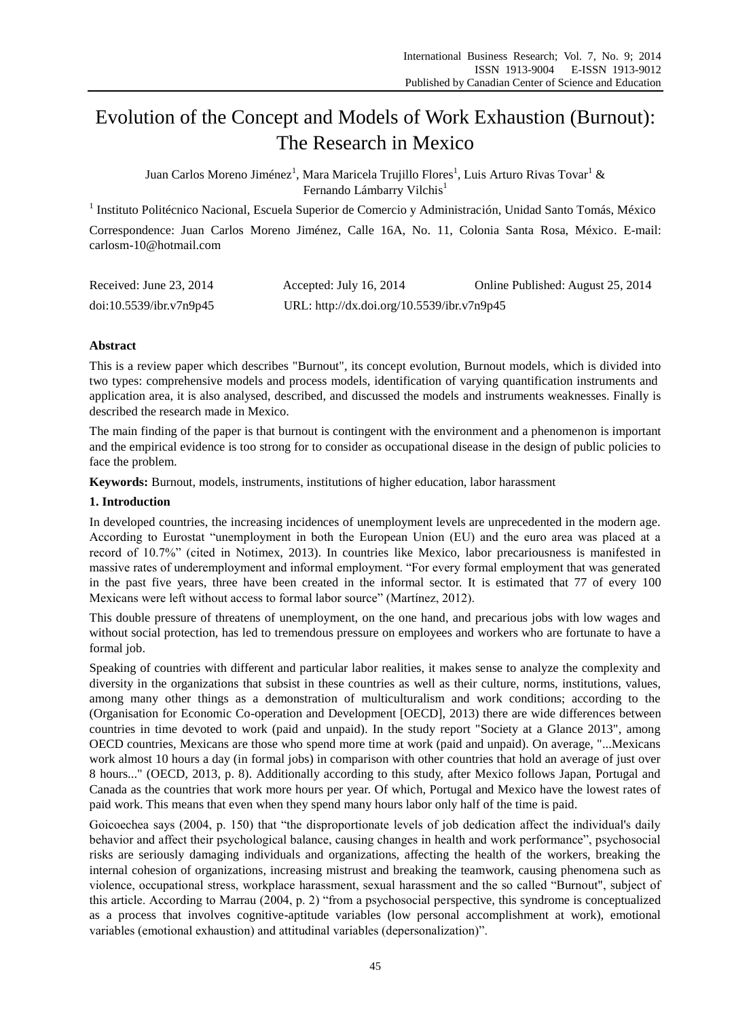# Evolution of the Concept and Models of Work Exhaustion (Burnout): The Research in Mexico

Juan Carlos Moreno Jiménez<sup>1</sup>, Mara Maricela Trujillo Flores<sup>1</sup>, Luis Arturo Rivas Tovar<sup>1</sup> & Fernando Lámbarry Vilchis<sup>1</sup>

<sup>1</sup> Instituto Politécnico Nacional, Escuela Superior de Comercio y Administración, Unidad Santo Tomás, México Correspondence: Juan Carlos Moreno Jiménez, Calle 16A, No. 11, Colonia Santa Rosa, México. E-mail: carlosm-10@hotmail.com

| Received: June $23, 2014$ | Accepted: July 16, 2014                    | Online Published: August 25, 2014 |
|---------------------------|--------------------------------------------|-----------------------------------|
| doi:10.5539/ibr.v7n9p45   | URL: http://dx.doi.org/10.5539/ibr.v7n9p45 |                                   |

# **Abstract**

This is a review paper which describes "Burnout", its concept evolution, Burnout models, which is divided into two types: comprehensive models and process models, identification of varying quantification instruments and application area, it is also analysed, described, and discussed the models and instruments weaknesses. Finally is described the research made in Mexico.

The main finding of the paper is that burnout is contingent with the environment and a phenomenon is important and the empirical evidence is too strong for to consider as occupational disease in the design of public policies to face the problem.

**Keywords:** Burnout, models, instruments, institutions of higher education, labor harassment

## **1. Introduction**

In developed countries, the increasing incidences of unemployment levels are unprecedented in the modern age. According to Eurostat "unemployment in both the European Union (EU) and the euro area was placed at a record of 10.7%" (cited in Notimex, 2013). In countries like Mexico, labor precariousness is manifested in massive rates of underemployment and informal employment. "For every formal employment that was generated in the past five years, three have been created in the informal sector. It is estimated that 77 of every 100 Mexicans were left without access to formal labor source" (Martínez, 2012).

This double pressure of threatens of unemployment, on the one hand, and precarious jobs with low wages and without social protection, has led to tremendous pressure on employees and workers who are fortunate to have a formal job.

Speaking of countries with different and particular labor realities, it makes sense to analyze the complexity and diversity in the organizations that subsist in these countries as well as their culture, norms, institutions, values, among many other things as a demonstration of multiculturalism and work conditions; according to the (Organisation for Economic Co-operation and Development [OECD], 2013) there are wide differences between countries in time devoted to work (paid and unpaid). In the study report "Society at a Glance 2013", among OECD countries, Mexicans are those who spend more time at work (paid and unpaid). On average, "...Mexicans work almost 10 hours a day (in formal jobs) in comparison with other countries that hold an average of just over 8 hours..." (OECD, 2013, p. 8). Additionally according to this study, after Mexico follows Japan, Portugal and Canada as the countries that work more hours per year. Of which, Portugal and Mexico have the lowest rates of paid work. This means that even when they spend many hours labor only half of the time is paid.

Goicoechea says (2004, p. 150) that "the disproportionate levels of job dedication affect the individual's daily behavior and affect their psychological balance, causing changes in health and work performance", psychosocial risks are seriously damaging individuals and organizations, affecting the health of the workers, breaking the internal cohesion of organizations, increasing mistrust and breaking the teamwork, causing phenomena such as violence, occupational stress, workplace harassment, sexual harassment and the so called "Burnout", subject of this article. According to Marrau (2004, p. 2) "from a psychosocial perspective, this syndrome is conceptualized as a process that involves cognitive-aptitude variables (low personal accomplishment at work), emotional variables (emotional exhaustion) and attitudinal variables (depersonalization)".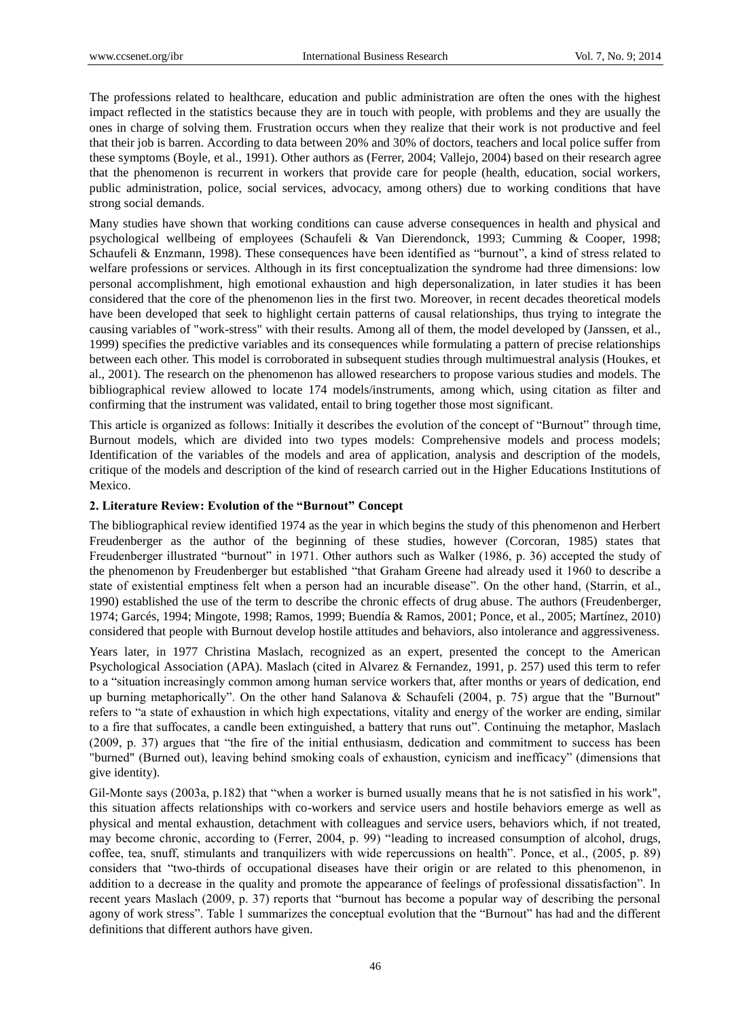The professions related to healthcare, education and public administration are often the ones with the highest impact reflected in the statistics because they are in touch with people, with problems and they are usually the ones in charge of solving them. Frustration occurs when they realize that their work is not productive and feel that their job is barren. According to data between 20% and 30% of doctors, teachers and local police suffer from these symptoms (Boyle, et al., 1991). Other authors as (Ferrer, 2004; Vallejo, 2004) based on their research agree that the phenomenon is recurrent in workers that provide care for people (health, education, social workers, public administration, police, social services, advocacy, among others) due to working conditions that have strong social demands.

Many studies have shown that working conditions can cause adverse consequences in health and physical and psychological wellbeing of employees (Schaufeli & Van Dierendonck, 1993; Cumming & Cooper, 1998; Schaufeli & Enzmann, 1998). These consequences have been identified as "burnout", a kind of stress related to welfare professions or services. Although in its first conceptualization the syndrome had three dimensions: low personal accomplishment, high emotional exhaustion and high depersonalization, in later studies it has been considered that the core of the phenomenon lies in the first two. Moreover, in recent decades theoretical models have been developed that seek to highlight certain patterns of causal relationships, thus trying to integrate the causing variables of "work-stress" with their results. Among all of them, the model developed by (Janssen, et al., 1999) specifies the predictive variables and its consequences while formulating a pattern of precise relationships between each other. This model is corroborated in subsequent studies through multimuestral analysis (Houkes, et al., 2001). The research on the phenomenon has allowed researchers to propose various studies and models. The bibliographical review allowed to locate 174 models/instruments, among which, using citation as filter and confirming that the instrument was validated, entail to bring together those most significant.

This article is organized as follows: Initially it describes the evolution of the concept of "Burnout" through time, Burnout models, which are divided into two types models: Comprehensive models and process models; Identification of the variables of the models and area of application, analysis and description of the models, critique of the models and description of the kind of research carried out in the Higher Educations Institutions of Mexico.

## **2. Literature Review: Evolution of the "Burnout" Concept**

The bibliographical review identified 1974 as the year in which begins the study of this phenomenon and Herbert Freudenberger as the author of the beginning of these studies, however (Corcoran, 1985) states that Freudenberger illustrated "burnout" in 1971. Other authors such as Walker (1986, p. 36) accepted the study of the phenomenon by Freudenberger but established "that Graham Greene had already used it 1960 to describe a state of existential emptiness felt when a person had an incurable disease". On the other hand, (Starrin, et al., 1990) established the use of the term to describe the chronic effects of drug abuse. The authors (Freudenberger, 1974; Garcés, 1994; Mingote, 1998; Ramos, 1999; Buendía & Ramos, 2001; Ponce, et al., 2005; Martínez, 2010) considered that people with Burnout develop hostile attitudes and behaviors, also intolerance and aggressiveness.

Years later, in 1977 Christina Maslach, recognized as an expert, presented the concept to the American Psychological Association (APA). Maslach (cited in Alvarez & Fernandez, 1991, p. 257) used this term to refer to a "situation increasingly common among human service workers that, after months or years of dedication, end up burning metaphorically". On the other hand Salanova & Schaufeli (2004, p. 75) argue that the "Burnout" refers to "a state of exhaustion in which high expectations, vitality and energy of the worker are ending, similar to a fire that suffocates, a candle been extinguished, a battery that runs out". Continuing the metaphor, Maslach (2009, p. 37) argues that "the fire of the initial enthusiasm, dedication and commitment to success has been "burned" (Burned out), leaving behind smoking coals of exhaustion, cynicism and inefficacy" (dimensions that give identity).

Gil-Monte says (2003a, p.182) that "when a worker is burned usually means that he is not satisfied in his work", this situation affects relationships with co-workers and service users and hostile behaviors emerge as well as physical and mental exhaustion, detachment with colleagues and service users, behaviors which, if not treated, may become chronic, according to (Ferrer, 2004, p. 99) "leading to increased consumption of alcohol, drugs, coffee, tea, snuff, stimulants and tranquilizers with wide repercussions on health". Ponce, et al., (2005, p. 89) considers that "two-thirds of occupational diseases have their origin or are related to this phenomenon, in addition to a decrease in the quality and promote the appearance of feelings of professional dissatisfaction". In recent years Maslach (2009, p. 37) reports that "burnout has become a popular way of describing the personal agony of work stress". Table 1 summarizes the conceptual evolution that the "Burnout" has had and the different definitions that different authors have given.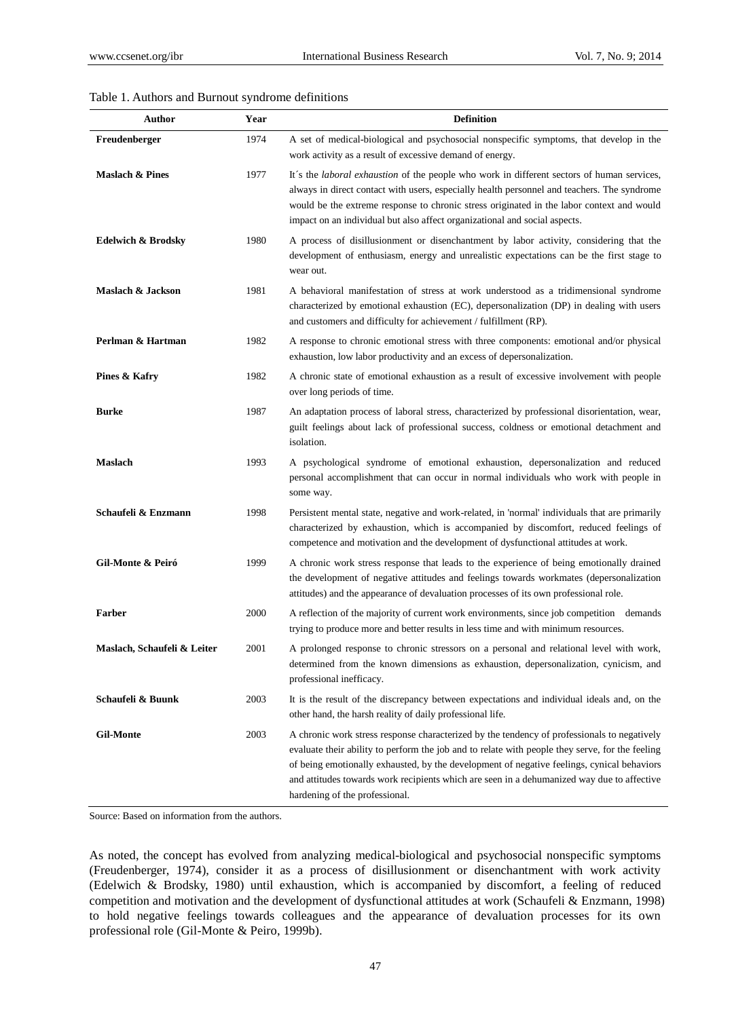#### Table 1. Authors and Burnout syndrome definitions

| Author                      | Year | <b>Definition</b>                                                                                                                                                                                                                                                                                                                                                                                                            |
|-----------------------------|------|------------------------------------------------------------------------------------------------------------------------------------------------------------------------------------------------------------------------------------------------------------------------------------------------------------------------------------------------------------------------------------------------------------------------------|
| Freudenberger               | 1974 | A set of medical-biological and psychosocial nonspecific symptoms, that develop in the<br>work activity as a result of excessive demand of energy.                                                                                                                                                                                                                                                                           |
| <b>Maslach &amp; Pines</b>  | 1977 | It s the <i>laboral exhaustion</i> of the people who work in different sectors of human services,<br>always in direct contact with users, especially health personnel and teachers. The syndrome<br>would be the extreme response to chronic stress originated in the labor context and would<br>impact on an individual but also affect organizational and social aspects.                                                  |
| Edelwich & Brodsky          | 1980 | A process of disillusionment or disenchantment by labor activity, considering that the<br>development of enthusiasm, energy and unrealistic expectations can be the first stage to<br>wear out.                                                                                                                                                                                                                              |
| Maslach & Jackson           | 1981 | A behavioral manifestation of stress at work understood as a tridimensional syndrome<br>characterized by emotional exhaustion (EC), depersonalization (DP) in dealing with users<br>and customers and difficulty for achievement / fulfillment (RP).                                                                                                                                                                         |
| Perlman & Hartman           | 1982 | A response to chronic emotional stress with three components: emotional and/or physical<br>exhaustion, low labor productivity and an excess of depersonalization.                                                                                                                                                                                                                                                            |
| Pines & Kafry               | 1982 | A chronic state of emotional exhaustion as a result of excessive involvement with people<br>over long periods of time.                                                                                                                                                                                                                                                                                                       |
| <b>Burke</b>                | 1987 | An adaptation process of laboral stress, characterized by professional disorientation, wear,<br>guilt feelings about lack of professional success, coldness or emotional detachment and<br>isolation.                                                                                                                                                                                                                        |
| <b>Maslach</b>              | 1993 | A psychological syndrome of emotional exhaustion, depersonalization and reduced<br>personal accomplishment that can occur in normal individuals who work with people in<br>some way.                                                                                                                                                                                                                                         |
| Schaufeli & Enzmann         | 1998 | Persistent mental state, negative and work-related, in 'normal' individuals that are primarily<br>characterized by exhaustion, which is accompanied by discomfort, reduced feelings of<br>competence and motivation and the development of dysfunctional attitudes at work.                                                                                                                                                  |
| Gil-Monte & Peiró           | 1999 | A chronic work stress response that leads to the experience of being emotionally drained<br>the development of negative attitudes and feelings towards workmates (depersonalization<br>attitudes) and the appearance of devaluation processes of its own professional role.                                                                                                                                                  |
| <b>Farber</b>               | 2000 | A reflection of the majority of current work environments, since job competition demands<br>trying to produce more and better results in less time and with minimum resources.                                                                                                                                                                                                                                               |
| Maslach, Schaufeli & Leiter | 2001 | A prolonged response to chronic stressors on a personal and relational level with work,<br>determined from the known dimensions as exhaustion, depersonalization, cynicism, and<br>professional inefficacy.                                                                                                                                                                                                                  |
| Schaufeli & Buunk           | 2003 | It is the result of the discrepancy between expectations and individual ideals and, on the<br>other hand, the harsh reality of daily professional life.                                                                                                                                                                                                                                                                      |
| <b>Gil-Monte</b>            | 2003 | A chronic work stress response characterized by the tendency of professionals to negatively<br>evaluate their ability to perform the job and to relate with people they serve, for the feeling<br>of being emotionally exhausted, by the development of negative feelings, cynical behaviors<br>and attitudes towards work recipients which are seen in a dehumanized way due to affective<br>hardening of the professional. |

Source: Based on information from the authors.

As noted, the concept has evolved from analyzing medical-biological and psychosocial nonspecific symptoms (Freudenberger, 1974), consider it as a process of disillusionment or disenchantment with work activity (Edelwich & Brodsky, 1980) until exhaustion, which is accompanied by discomfort, a feeling of reduced competition and motivation and the development of dysfunctional attitudes at work (Schaufeli & Enzmann, 1998) to hold negative feelings towards colleagues and the appearance of devaluation processes for its own professional role (Gil-Monte & Peiro, 1999b).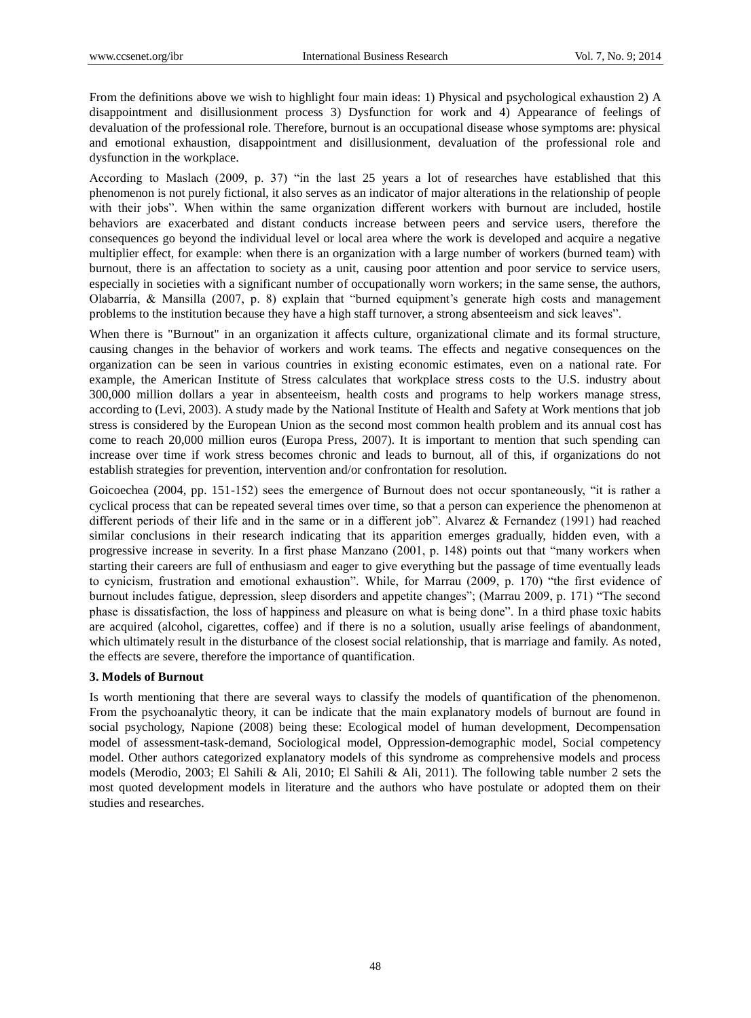From the definitions above we wish to highlight four main ideas: 1) Physical and psychological exhaustion 2) A disappointment and disillusionment process 3) Dysfunction for work and 4) Appearance of feelings of devaluation of the professional role. Therefore, burnout is an occupational disease whose symptoms are: physical and emotional exhaustion, disappointment and disillusionment, devaluation of the professional role and dysfunction in the workplace.

According to Maslach (2009, p. 37) "in the last 25 years a lot of researches have established that this phenomenon is not purely fictional, it also serves as an indicator of major alterations in the relationship of people with their jobs". When within the same organization different workers with burnout are included, hostile behaviors are exacerbated and distant conducts increase between peers and service users, therefore the consequences go beyond the individual level or local area where the work is developed and acquire a negative multiplier effect, for example: when there is an organization with a large number of workers (burned team) with burnout, there is an affectation to society as a unit, causing poor attention and poor service to service users, especially in societies with a significant number of occupationally worn workers; in the same sense, the authors, Olabarría, & Mansilla (2007, p. 8) explain that "burned equipment's generate high costs and management problems to the institution because they have a high staff turnover, a strong absenteeism and sick leaves".

When there is "Burnout" in an organization it affects culture, organizational climate and its formal structure, causing changes in the behavior of workers and work teams. The effects and negative consequences on the organization can be seen in various countries in existing economic estimates, even on a national rate. For example, the American Institute of Stress calculates that workplace stress costs to the U.S. industry about 300,000 million dollars a year in absenteeism, health costs and programs to help workers manage stress, according to (Levi, 2003). A study made by the National Institute of Health and Safety at Work mentions that job stress is considered by the European Union as the second most common health problem and its annual cost has come to reach 20,000 million euros (Europa Press, 2007). It is important to mention that such spending can increase over time if work stress becomes chronic and leads to burnout, all of this, if organizations do not establish strategies for prevention, intervention and/or confrontation for resolution.

Goicoechea (2004, pp. 151-152) sees the emergence of Burnout does not occur spontaneously, "it is rather a cyclical process that can be repeated several times over time, so that a person can experience the phenomenon at different periods of their life and in the same or in a different job". Alvarez & Fernandez (1991) had reached similar conclusions in their research indicating that its apparition emerges gradually, hidden even, with a progressive increase in severity. In a first phase Manzano (2001, p. 148) points out that "many workers when starting their careers are full of enthusiasm and eager to give everything but the passage of time eventually leads to cynicism, frustration and emotional exhaustion". While, for Marrau (2009, p. 170) "the first evidence of burnout includes fatigue, depression, sleep disorders and appetite changes"; (Marrau 2009, p. 171) "The second phase is dissatisfaction, the loss of happiness and pleasure on what is being done". In a third phase toxic habits are acquired (alcohol, cigarettes, coffee) and if there is no a solution, usually arise feelings of abandonment, which ultimately result in the disturbance of the closest social relationship, that is marriage and family. As noted, the effects are severe, therefore the importance of quantification.

## **3. Models of Burnout**

Is worth mentioning that there are several ways to classify the models of quantification of the phenomenon. From the psychoanalytic theory, it can be indicate that the main explanatory models of burnout are found in social psychology, Napione (2008) being these: Ecological model of human development, Decompensation model of assessment-task-demand, Sociological model, Oppression-demographic model, Social competency model. Other authors categorized explanatory models of this syndrome as comprehensive models and process models (Merodio, 2003; El Sahili & Ali, 2010; El Sahili & Ali, 2011). The following table number 2 sets the most quoted development models in literature and the authors who have postulate or adopted them on their studies and researches.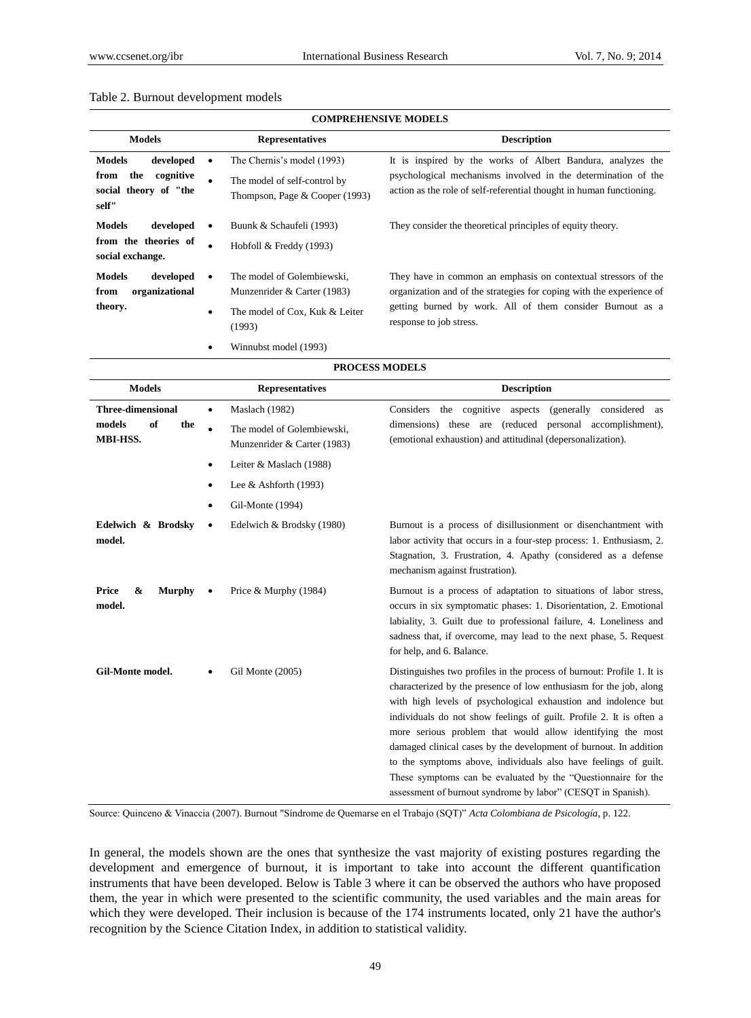#### Table 2. Burnout development models

| <b>COMPREHENSIVE MODELS</b>                                                                                                                                                                                    |                                                                                                           |                                                                                                                                                                                                                                |  |  |
|----------------------------------------------------------------------------------------------------------------------------------------------------------------------------------------------------------------|-----------------------------------------------------------------------------------------------------------|--------------------------------------------------------------------------------------------------------------------------------------------------------------------------------------------------------------------------------|--|--|
| <b>Models</b>                                                                                                                                                                                                  | <b>Representatives</b>                                                                                    | <b>Description</b>                                                                                                                                                                                                             |  |  |
| <b>Models</b><br>developed<br>the<br>cognitive<br>from<br>social theory of "the<br>self"                                                                                                                       | The Chernis's model (1993)<br>The model of self-control by<br>$\bullet$<br>Thompson, Page & Cooper (1993) | It is inspired by the works of Albert Bandura, analyzes the<br>psychological mechanisms involved in the determination of the<br>action as the role of self-referential thought in human functioning.                           |  |  |
| <b>Models</b><br>developed<br>from the theories of<br>social exchange.                                                                                                                                         | Buunk & Schaufeli (1993)<br>Hobfoll $&$ Freddy (1993)<br>٠                                                | They consider the theoretical principles of equity theory.                                                                                                                                                                     |  |  |
| <b>Models</b><br>developed<br>The model of Golembiewski.<br>organizational<br>Munzenrider & Carter (1983)<br>from<br>theory.<br>The model of Cox, Kuk & Leiter<br>$\bullet$<br>(1993)<br>Winnubst model (1993) |                                                                                                           | They have in common an emphasis on contextual stressors of the<br>organization and of the strategies for coping with the experience of<br>getting burned by work. All of them consider Burnout as a<br>response to job stress. |  |  |

| <b>PROCESS MODELS</b>                                       |                                                                                  |                                                                                                                                                                                                                                                                                                                                                                                                                                                                                                                                                                                                                              |  |  |
|-------------------------------------------------------------|----------------------------------------------------------------------------------|------------------------------------------------------------------------------------------------------------------------------------------------------------------------------------------------------------------------------------------------------------------------------------------------------------------------------------------------------------------------------------------------------------------------------------------------------------------------------------------------------------------------------------------------------------------------------------------------------------------------------|--|--|
| <b>Models</b>                                               | <b>Representatives</b>                                                           | <b>Description</b>                                                                                                                                                                                                                                                                                                                                                                                                                                                                                                                                                                                                           |  |  |
| <b>Three-dimensional</b><br>models<br>of<br>the<br>MBI-HSS. | Maslach (1982)<br>٠<br>The model of Golembiewski.<br>Munzenrider & Carter (1983) | the cognitive aspects<br>(generally considered as<br>Considers<br>dimensions) these are (reduced<br>personal accomplishment),<br>(emotional exhaustion) and attitudinal (depersonalization).                                                                                                                                                                                                                                                                                                                                                                                                                                 |  |  |
|                                                             | Leiter & Maslach (1988)<br>٠                                                     |                                                                                                                                                                                                                                                                                                                                                                                                                                                                                                                                                                                                                              |  |  |
|                                                             | Lee & Ashforth $(1993)$<br>٠                                                     |                                                                                                                                                                                                                                                                                                                                                                                                                                                                                                                                                                                                                              |  |  |
|                                                             | Gil-Monte (1994)                                                                 |                                                                                                                                                                                                                                                                                                                                                                                                                                                                                                                                                                                                                              |  |  |
| Edelwich & Brodsky<br>model.                                | Edelwich & Brodsky (1980)<br>٠                                                   | Burnout is a process of disillusionment or disenchantment with<br>labor activity that occurs in a four-step process: 1. Enthusiasm, 2.<br>Stagnation, 3. Frustration, 4. Apathy (considered as a defense<br>mechanism against frustration).                                                                                                                                                                                                                                                                                                                                                                                  |  |  |
| <b>Price</b><br>&<br><b>Murphy</b><br>model.                | Price & Murphy (1984)                                                            | Burnout is a process of adaptation to situations of labor stress,<br>occurs in six symptomatic phases: 1. Disorientation, 2. Emotional<br>labiality, 3. Guilt due to professional failure, 4. Loneliness and<br>sadness that, if overcome, may lead to the next phase, 5. Request<br>for help, and 6. Balance.                                                                                                                                                                                                                                                                                                               |  |  |
| Gil-Monte model.                                            | Gil Monte (2005)                                                                 | Distinguishes two profiles in the process of burnout: Profile 1. It is<br>characterized by the presence of low enthusiasm for the job, along<br>with high levels of psychological exhaustion and indolence but<br>individuals do not show feelings of guilt. Profile 2. It is often a<br>more serious problem that would allow identifying the most<br>damaged clinical cases by the development of burnout. In addition<br>to the symptoms above, individuals also have feelings of guilt.<br>These symptoms can be evaluated by the "Questionnaire for the<br>assessment of burnout syndrome by labor" (CESQT in Spanish). |  |  |

Source: Quinceno & Vinaccia (2007). Burnout "Síndrome de Quemarse en el Trabajo (SQT)" *Acta Colombiana de Psicología*, p. 122.

In general, the models shown are the ones that synthesize the vast majority of existing postures regarding the development and emergence of burnout, it is important to take into account the different quantification instruments that have been developed. Below is Table 3 where it can be observed the authors who have proposed them, the year in which were presented to the scientific community, the used variables and the main areas for which they were developed. Their inclusion is because of the 174 instruments located, only 21 have the author's recognition by the Science Citation Index, in addition to statistical validity.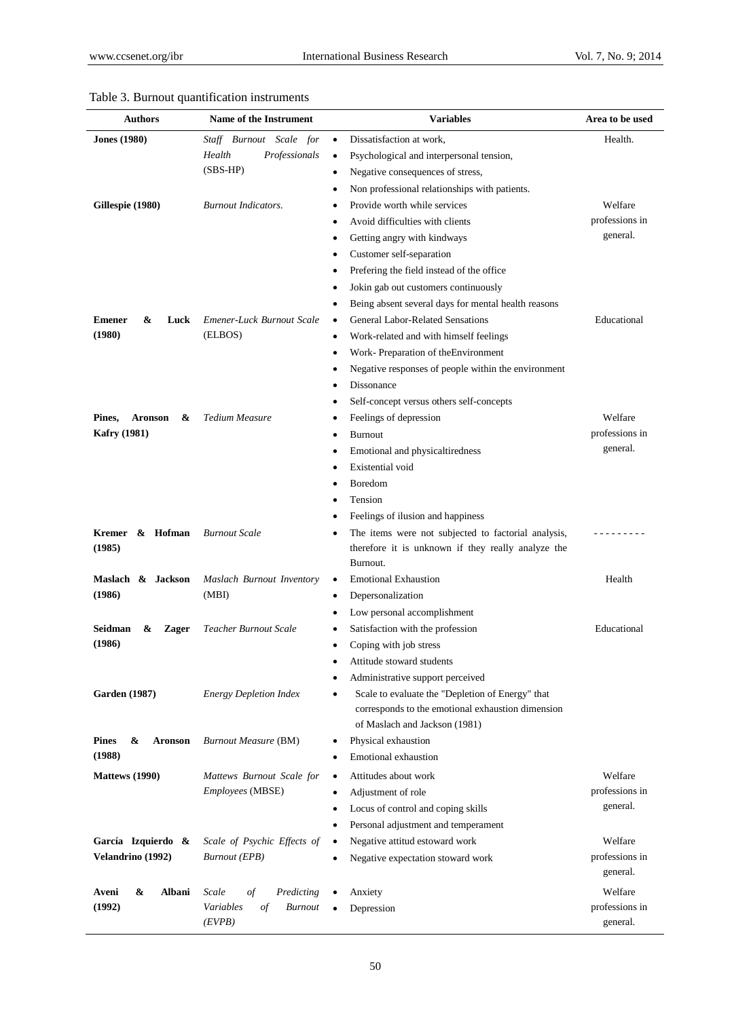| Authors                       | <b>Name of the Instrument</b>                      | <b>Variables</b>                                                                               | Area to be used            |
|-------------------------------|----------------------------------------------------|------------------------------------------------------------------------------------------------|----------------------------|
| <b>Jones</b> (1980)           | Staff Burnout Scale for<br>Health<br>Professionals | Dissatisfaction at work.<br>$\bullet$<br>Psychological and interpersonal tension,<br>$\bullet$ | Health.                    |
|                               | $(SBS-HP)$                                         | Negative consequences of stress,<br>$\bullet$                                                  |                            |
|                               |                                                    | Non professional relationships with patients.                                                  |                            |
| Gillespie (1980)              | <b>Burnout Indicators.</b>                         | Provide worth while services                                                                   | Welfare<br>professions in  |
|                               |                                                    | Avoid difficulties with clients                                                                | general.                   |
|                               |                                                    | Getting angry with kindways<br>٠                                                               |                            |
|                               |                                                    | Customer self-separation<br>$\bullet$                                                          |                            |
|                               |                                                    | Prefering the field instead of the office<br>٠<br>Jokin gab out customers continuously         |                            |
|                               |                                                    | Being absent several days for mental health reasons<br>$\bullet$                               |                            |
| <b>Emener</b><br>&<br>Luck    | Emener-Luck Burnout Scale                          | <b>General Labor-Related Sensations</b><br>$\bullet$                                           | Educational                |
| (1980)                        | (ELBOS)                                            | Work-related and with himself feelings<br>$\bullet$                                            |                            |
|                               |                                                    | Work- Preparation of the Environment<br>٠                                                      |                            |
|                               |                                                    | Negative responses of people within the environment                                            |                            |
|                               |                                                    | Dissonance                                                                                     |                            |
|                               |                                                    | Self-concept versus others self-concepts                                                       |                            |
| <b>Aronson</b><br>&<br>Pines. | Tedium Measure                                     | Feelings of depression<br>٠                                                                    | Welfare                    |
| <b>Kafry</b> (1981)           |                                                    | Burnout<br>٠                                                                                   | professions in             |
|                               |                                                    | Emotional and physicaltiredness<br>٠                                                           | general.                   |
|                               |                                                    | Existential void                                                                               |                            |
|                               |                                                    | Boredom                                                                                        |                            |
|                               |                                                    | Tension                                                                                        |                            |
|                               |                                                    | Feelings of ilusion and happiness                                                              |                            |
| & Hofman<br><b>Kremer</b>     | <b>Burnout Scale</b>                               | The items were not subjected to factorial analysis,                                            |                            |
| (1985)                        |                                                    | therefore it is unknown if they really analyze the                                             |                            |
|                               |                                                    | Burnout.                                                                                       |                            |
| Maslach & Jackson             | Maslach Burnout Inventory                          | <b>Emotional Exhaustion</b><br>$\bullet$                                                       | Health                     |
| (1986)                        | (MBI)                                              | Depersonalization<br>٠                                                                         |                            |
|                               |                                                    | Low personal accomplishment                                                                    |                            |
| Seidman<br>&<br><b>Zager</b>  | Teacher Burnout Scale                              | Satisfaction with the profession                                                               | Educational                |
| (1986)                        |                                                    | Coping with job stress                                                                         |                            |
|                               |                                                    | Attitude stoward students<br>٠                                                                 |                            |
|                               |                                                    | Administrative support perceived<br>٠                                                          |                            |
| <b>Garden</b> (1987)          | <b>Energy Depletion Index</b>                      | Scale to evaluate the "Depletion of Energy" that                                               |                            |
|                               |                                                    | corresponds to the emotional exhaustion dimension                                              |                            |
|                               |                                                    | of Maslach and Jackson (1981)                                                                  |                            |
| <b>Pines</b><br>&<br>Aronson  | <b>Burnout Measure (BM)</b>                        | Physical exhaustion                                                                            |                            |
| (1988)                        |                                                    | <b>Emotional exhaustion</b>                                                                    |                            |
| <b>Mattews</b> (1990)         | Mattews Burnout Scale for                          | Attitudes about work<br>$\bullet$                                                              | Welfare                    |
|                               | <i>Employees</i> (MBSE)                            | Adjustment of role<br>$\bullet$                                                                | professions in             |
|                               |                                                    | Locus of control and coping skills<br>$\bullet$                                                | general.                   |
|                               |                                                    | Personal adjustment and temperament<br>$\bullet$                                               |                            |
| Garc à Izquierdo &            | Scale of Psychic Effects of                        | Negative attitud estoward work<br>٠                                                            | Welfare                    |
| Velandrino (1992)             | <b>Burnout</b> (EPB)                               | Negative expectation stoward work<br>٠                                                         | professions in<br>general. |
| Albani<br>Aveni<br>&          | Scale<br>οf<br>Predicting                          | Anxiety                                                                                        | Welfare                    |
| (1992)                        | Variables<br><b>Burnout</b><br>οf<br>(EVPB)        | Depression                                                                                     | professions in<br>general. |

# Table 3. Burnout quantification instruments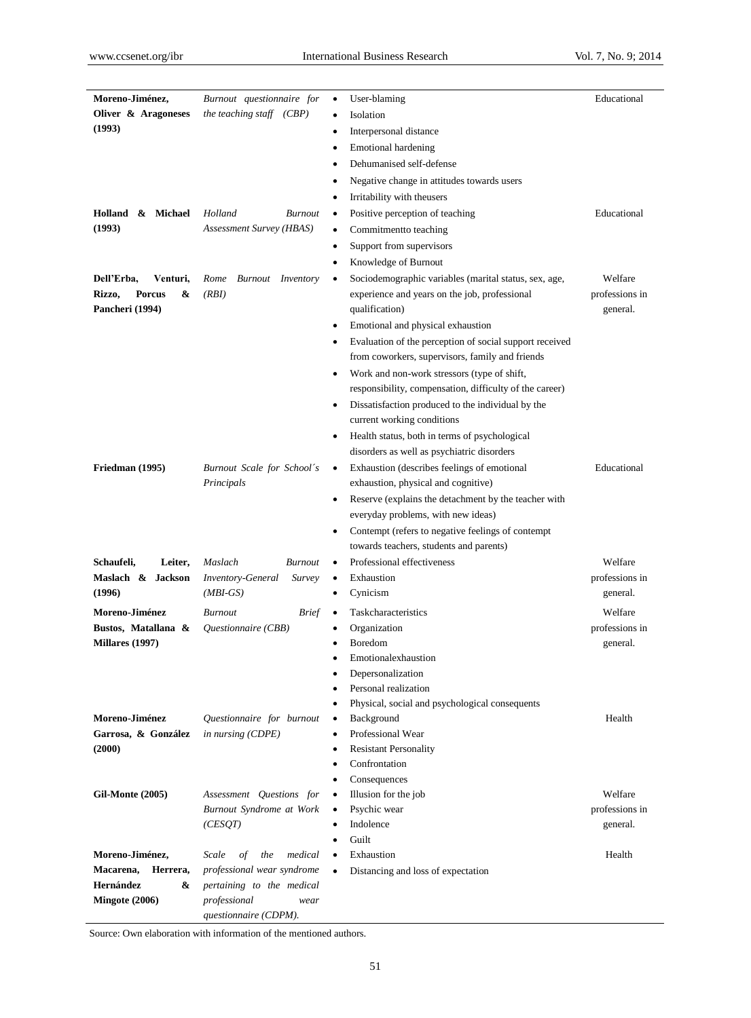| Moreno-Jim énez,<br>Oliver & Aragoneses   | Burnout questionnaire for<br>the teaching staff (CBP)               | User-blaming<br>Isolation<br>٠                                 | Educational    |
|-------------------------------------------|---------------------------------------------------------------------|----------------------------------------------------------------|----------------|
| (1993)                                    |                                                                     | Interpersonal distance<br>٠                                    |                |
|                                           |                                                                     | <b>Emotional hardening</b><br>٠                                |                |
|                                           |                                                                     | Dehumanised self-defense<br>٠                                  |                |
|                                           |                                                                     |                                                                |                |
|                                           |                                                                     | Negative change in attitudes towards users                     |                |
|                                           |                                                                     | Irritability with theusers                                     |                |
| Holland<br>& Michael                      | Holland<br><b>Burnout</b>                                           | Positive perception of teaching                                | Educational    |
| (1993)                                    | Assessment Survey (HBAS)                                            | Commitmentto teaching<br>٠                                     |                |
|                                           |                                                                     | Support from supervisors<br>٠                                  |                |
|                                           |                                                                     | Knowledge of Burnout<br>٠                                      |                |
| Dell'Erba,<br>Venturi,                    | <b>Burnout</b> Inventory<br>Rome                                    | Sociodemographic variables (marital status, sex, age,<br>٠     | Welfare        |
| <b>Porcus</b><br>Rizzo,<br>&              | (RBI)                                                               | experience and years on the job, professional                  | professions in |
| Pancheri (1994)                           |                                                                     | qualification)                                                 | general.       |
|                                           |                                                                     | Emotional and physical exhaustion<br>٠                         |                |
|                                           |                                                                     | Evaluation of the perception of social support received<br>٠   |                |
|                                           |                                                                     | from coworkers, supervisors, family and friends                |                |
|                                           |                                                                     | Work and non-work stressors (type of shift,<br>٠               |                |
|                                           |                                                                     | responsibility, compensation, difficulty of the career)        |                |
|                                           |                                                                     | Dissatisfaction produced to the individual by the<br>$\bullet$ |                |
|                                           |                                                                     | current working conditions                                     |                |
|                                           |                                                                     | Health status, both in terms of psychological<br>٠             |                |
|                                           |                                                                     | disorders as well as psychiatric disorders                     |                |
| Friedman (1995)                           | Burnout Scale for School's                                          | Exhaustion (describes feelings of emotional                    | Educational    |
|                                           | Principals                                                          | exhaustion, physical and cognitive)                            |                |
|                                           |                                                                     | Reserve (explains the detachment by the teacher with<br>٠      |                |
|                                           |                                                                     | everyday problems, with new ideas)                             |                |
|                                           |                                                                     | Contempt (refers to negative feelings of contempt              |                |
|                                           |                                                                     | towards teachers, students and parents)                        |                |
| Schaufeli,<br>Leiter,                     | Maslach<br><b>Burnout</b>                                           | Professional effectiveness                                     | Welfare        |
| Maslach & Jackson                         | <b>Inventory-General</b><br>Survey                                  | Exhaustion<br>٠                                                | professions in |
| (1996)                                    | $(MBI-GS)$                                                          | Cynicism<br>٠                                                  | general.       |
| Moreno-Jim énez                           | <b>Burnout</b><br><b>Brief</b>                                      | Taskcharacteristics                                            | Welfare        |
| Bustos, Matallana &                       | Questionnaire (CBB)                                                 | Organization                                                   | professions in |
| <b>Millares (1997)</b>                    |                                                                     | <b>Boredom</b><br>$\bullet$                                    | general.       |
|                                           |                                                                     | Emotionalexhaustion<br>٠                                       |                |
|                                           |                                                                     | Depersonalization                                              |                |
|                                           |                                                                     | Personal realization                                           |                |
|                                           |                                                                     | Physical, social and psychological consequents                 |                |
| Moreno-Jiménez                            | Questionnaire for burnout                                           | Background<br>٠                                                | Health         |
| Garrosa, & González                       | in nursing (CDPE)                                                   | Professional Wear                                              |                |
| (2000)                                    |                                                                     | <b>Resistant Personality</b>                                   |                |
|                                           |                                                                     | Confrontation                                                  |                |
|                                           |                                                                     | Consequences                                                   |                |
| <b>Gil-Monte (2005)</b>                   | Assessment Ouestions for                                            | Illusion for the job<br>٠                                      | Welfare        |
|                                           | Burnout Syndrome at Work                                            | Psychic wear<br>٠                                              | professions in |
|                                           | (CESQT)                                                             | Indolence<br>$\bullet$                                         | general.       |
|                                           |                                                                     | Guilt<br>$\bullet$                                             |                |
| Moreno-Jim énez,<br>Macarena,<br>Herrera, | Scale<br>$\sigma f$<br>medical<br>the<br>professional wear syndrome | Exhaustion<br>$\bullet$                                        | Health         |
| <b>Hern</b> ández<br>&                    | pertaining to the medical                                           | Distancing and loss of expectation<br>$\bullet$                |                |
| Mingote (2006)                            | professional<br>wear                                                |                                                                |                |
|                                           | questionnaire (CDPM).                                               |                                                                |                |
|                                           |                                                                     |                                                                |                |

Source: Own elaboration with information of the mentioned authors.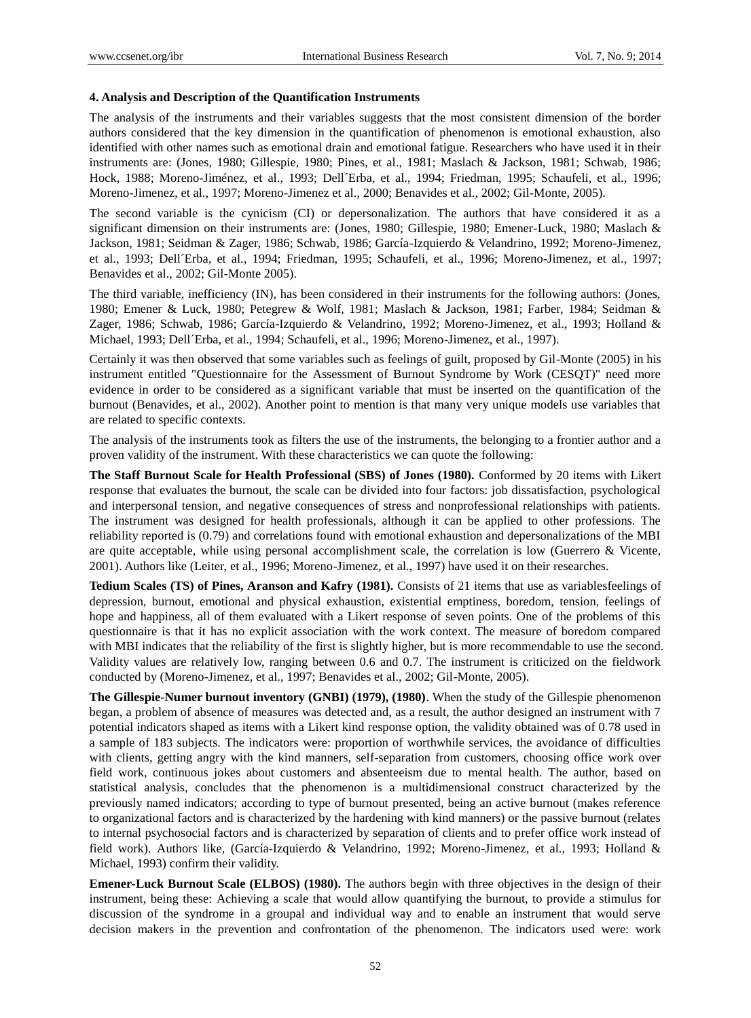#### **4. Analysis and Description of the Quantification Instruments**

The analysis of the instruments and their variables suggests that the most consistent dimension of the border authors considered that the key dimension in the quantification of phenomenon is emotional exhaustion, also identified with other names such as emotional drain and emotional fatigue. Researchers who have used it in their instruments are: (Jones, 1980; Gillespie, 1980; Pines, et al., 1981; Maslach & Jackson, 1981; Schwab, 1986; Hock, 1988; Moreno-Jiménez, et al., 1993; Dell Erba, et al., 1994; Friedman, 1995; Schaufeli, et al., 1996; Moreno-Jimenez, et al., 1997; Moreno-Jimenez et al., 2000; Benavides et al., 2002; Gil-Monte, 2005).

The second variable is the cynicism (CI) or depersonalization. The authors that have considered it as a significant dimension on their instruments are: (Jones, 1980; Gillespie, 1980; Emener-Luck, 1980; Maslach & Jackson, 1981; Seidman & Zager, 1986; Schwab, 1986; García-Izquierdo & Velandrino, 1992; Moreno-Jimenez, et al., 1993; Dell Erba, et al., 1994; Friedman, 1995; Schaufeli, et al., 1996; Moreno-Jimenez, et al., 1997; Benavides et al., 2002; Gil-Monte 2005).

The third variable, inefficiency (IN), has been considered in their instruments for the following authors: (Jones, 1980; Emener & Luck, 1980; Petegrew & Wolf, 1981; Maslach & Jackson, 1981; Farber, 1984; Seidman & Zager, 1986; Schwab, 1986; García-Izquierdo & Velandrino, 1992; Moreno-Jimenez, et al., 1993; Holland & Michael, 1993; Dell Erba, et al., 1994; Schaufeli, et al., 1996; Moreno-Jimenez, et al., 1997).

Certainly it was then observed that some variables such as feelings of guilt, proposed by Gil-Monte (2005) in his instrument entitled "Questionnaire for the Assessment of Burnout Syndrome by Work (CESQT)" need more evidence in order to be considered as a significant variable that must be inserted on the quantification of the burnout (Benavides, et al., 2002). Another point to mention is that many very unique models use variables that are related to specific contexts.

The analysis of the instruments took as filters the use of the instruments, the belonging to a frontier author and a proven validity of the instrument. With these characteristics we can quote the following:

**The Staff Burnout Scale for Health Professional (SBS) of Jones (1980).** Conformed by 20 items with Likert response that evaluates the burnout, the scale can be divided into four factors: job dissatisfaction, psychological and interpersonal tension, and negative consequences of stress and nonprofessional relationships with patients. The instrument was designed for health professionals, although it can be applied to other professions. The reliability reported is (0.79) and correlations found with emotional exhaustion and depersonalizations of the MBI are quite acceptable, while using personal accomplishment scale, the correlation is low (Guerrero & Vicente, 2001). Authors like (Leiter, et al., 1996; Moreno-Jimenez, et al., 1997) have used it on their researches.

**Tedium Scales (TS) of Pines, Aranson and Kafry (1981).** Consists of 21 items that use as variablesfeelings of depression, burnout, emotional and physical exhaustion, existential emptiness, boredom, tension, feelings of hope and happiness, all of them evaluated with a Likert response of seven points. One of the problems of this questionnaire is that it has no explicit association with the work context. The measure of boredom compared with MBI indicates that the reliability of the first is slightly higher, but is more recommendable to use the second. Validity values are relatively low, ranging between 0.6 and 0.7. The instrument is criticized on the fieldwork conducted by (Moreno-Jimenez, et al., 1997; Benavides et al., 2002; Gil-Monte, 2005).

**The Gillespie-Numer burnout inventory (GNBI) (1979), (1980)**. When the study of the Gillespie phenomenon began, a problem of absence of measures was detected and, as a result, the author designed an instrument with 7 potential indicators shaped as items with a Likert kind response option, the validity obtained was of 0.78 used in a sample of 183 subjects. The indicators were: proportion of worthwhile services, the avoidance of difficulties with clients, getting angry with the kind manners, self-separation from customers, choosing office work over field work, continuous jokes about customers and absenteeism due to mental health. The author, based on statistical analysis, concludes that the phenomenon is a multidimensional construct characterized by the previously named indicators; according to type of burnout presented, being an active burnout (makes reference to organizational factors and is characterized by the hardening with kind manners) or the passive burnout (relates to internal psychosocial factors and is characterized by separation of clients and to prefer office work instead of field work). Authors like, (Garc á-Izquierdo & Velandrino, 1992; Moreno-Jimenez, et al., 1993; Holland & Michael, 1993) confirm their validity.

**Emener-Luck Burnout Scale (ELBOS) (1980).** The authors begin with three objectives in the design of their instrument, being these: Achieving a scale that would allow quantifying the burnout, to provide a stimulus for discussion of the syndrome in a groupal and individual way and to enable an instrument that would serve decision makers in the prevention and confrontation of the phenomenon. The indicators used were: work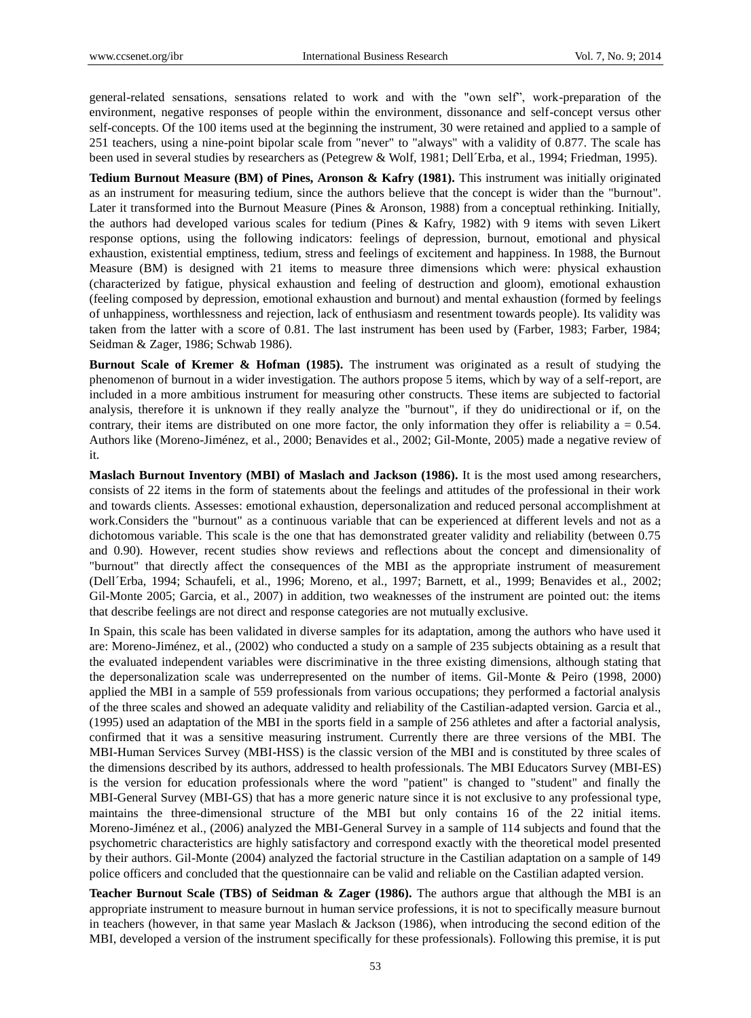general-related sensations, sensations related to work and with the "own self", work-preparation of the environment, negative responses of people within the environment, dissonance and self-concept versus other self-concepts. Of the 100 items used at the beginning the instrument, 30 were retained and applied to a sample of 251 teachers, using a nine-point bipolar scale from "never" to "always" with a validity of 0.877. The scale has been used in several studies by researchers as (Petegrew & Wolf, 1981; Dell Erba, et al., 1994; Friedman, 1995).

**Tedium Burnout Measure (BM) of Pines, Aronson & Kafry (1981).** This instrument was initially originated as an instrument for measuring tedium, since the authors believe that the concept is wider than the "burnout". Later it transformed into the Burnout Measure (Pines & Aronson, 1988) from a conceptual rethinking. Initially, the authors had developed various scales for tedium (Pines & Kafry, 1982) with 9 items with seven Likert response options, using the following indicators: feelings of depression, burnout, emotional and physical exhaustion, existential emptiness, tedium, stress and feelings of excitement and happiness. In 1988, the Burnout Measure (BM) is designed with 21 items to measure three dimensions which were: physical exhaustion (characterized by fatigue, physical exhaustion and feeling of destruction and gloom), emotional exhaustion (feeling composed by depression, emotional exhaustion and burnout) and mental exhaustion (formed by feelings of unhappiness, worthlessness and rejection, lack of enthusiasm and resentment towards people). Its validity was taken from the latter with a score of 0.81. The last instrument has been used by (Farber, 1983; Farber, 1984; Seidman & Zager, 1986; Schwab 1986).

**Burnout Scale of Kremer & Hofman (1985).** The instrument was originated as a result of studying the phenomenon of burnout in a wider investigation. The authors propose 5 items, which by way of a self-report, are included in a more ambitious instrument for measuring other constructs. These items are subjected to factorial analysis, therefore it is unknown if they really analyze the "burnout", if they do unidirectional or if, on the contrary, their items are distributed on one more factor, the only information they offer is reliability  $a = 0.54$ . Authors like (Moreno-Jiménez, et al., 2000; Benavides et al., 2002; Gil-Monte, 2005) made a negative review of it.

**Maslach Burnout Inventory (MBI) of Maslach and Jackson (1986).** It is the most used among researchers, consists of 22 items in the form of statements about the feelings and attitudes of the professional in their work and towards clients. Assesses: emotional exhaustion, depersonalization and reduced personal accomplishment at work.Considers the "burnout" as a continuous variable that can be experienced at different levels and not as a dichotomous variable. This scale is the one that has demonstrated greater validity and reliability (between 0.75 and 0.90). However, recent studies show reviews and reflections about the concept and dimensionality of "burnout" that directly affect the consequences of the MBI as the appropriate instrument of measurement (Dell´Erba, 1994; Schaufeli, et al., 1996; Moreno, et al., 1997; Barnett, et al., 1999; Benavides et al., 2002; Gil-Monte 2005; Garcia, et al., 2007) in addition, two weaknesses of the instrument are pointed out: the items that describe feelings are not direct and response categories are not mutually exclusive.

In Spain, this scale has been validated in diverse samples for its adaptation, among the authors who have used it are: Moreno-Jiménez, et al., (2002) who conducted a study on a sample of 235 subjects obtaining as a result that the evaluated independent variables were discriminative in the three existing dimensions, although stating that the depersonalization scale was underrepresented on the number of items. Gil-Monte & Peiro (1998, 2000) applied the MBI in a sample of 559 professionals from various occupations; they performed a factorial analysis of the three scales and showed an adequate validity and reliability of the Castilian-adapted version. Garcia et al., (1995) used an adaptation of the MBI in the sports field in a sample of 256 athletes and after a factorial analysis, confirmed that it was a sensitive measuring instrument. Currently there are three versions of the MBI. The MBI-Human Services Survey (MBI-HSS) is the classic version of the MBI and is constituted by three scales of the dimensions described by its authors, addressed to health professionals. The MBI Educators Survey (MBI-ES) is the version for education professionals where the word "patient" is changed to "student" and finally the MBI-General Survey (MBI-GS) that has a more generic nature since it is not exclusive to any professional type, maintains the three-dimensional structure of the MBI but only contains 16 of the 22 initial items. Moreno-Jiménez et al., (2006) analyzed the MBI-General Survey in a sample of 114 subjects and found that the psychometric characteristics are highly satisfactory and correspond exactly with the theoretical model presented by their authors. Gil-Monte (2004) analyzed the factorial structure in the Castilian adaptation on a sample of 149 police officers and concluded that the questionnaire can be valid and reliable on the Castilian adapted version.

**Teacher Burnout Scale (TBS) of Seidman & Zager (1986).** The authors argue that although the MBI is an appropriate instrument to measure burnout in human service professions, it is not to specifically measure burnout in teachers (however, in that same year Maslach & Jackson (1986), when introducing the second edition of the MBI, developed a version of the instrument specifically for these professionals). Following this premise, it is put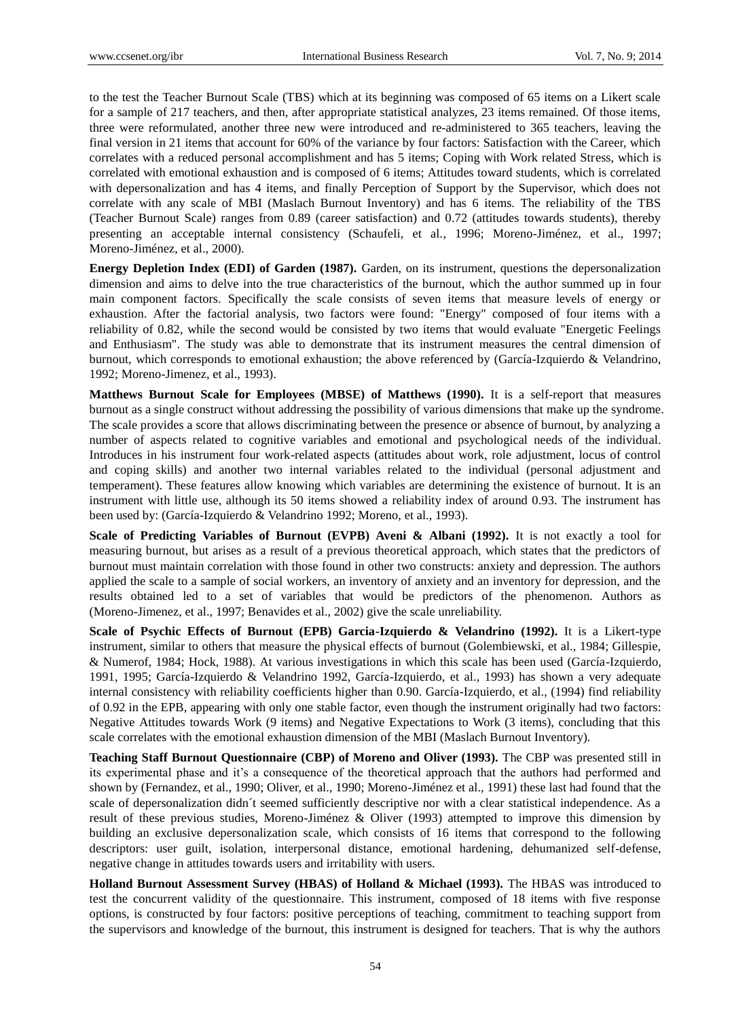to the test the Teacher Burnout Scale (TBS) which at its beginning was composed of 65 items on a Likert scale for a sample of 217 teachers, and then, after appropriate statistical analyzes, 23 items remained. Of those items, three were reformulated, another three new were introduced and re-administered to 365 teachers, leaving the final version in 21 items that account for 60% of the variance by four factors: Satisfaction with the Career, which correlates with a reduced personal accomplishment and has 5 items; Coping with Work related Stress, which is correlated with emotional exhaustion and is composed of 6 items; Attitudes toward students, which is correlated with depersonalization and has 4 items, and finally Perception of Support by the Supervisor, which does not correlate with any scale of MBI (Maslach Burnout Inventory) and has 6 items. The reliability of the TBS (Teacher Burnout Scale) ranges from 0.89 (career satisfaction) and 0.72 (attitudes towards students), thereby presenting an acceptable internal consistency (Schaufeli, et al., 1996; Moreno-Jiménez, et al., 1997; Moreno-Jiménez, et al., 2000).

**Energy Depletion Index (EDI) of Garden (1987).** Garden, on its instrument, questions the depersonalization dimension and aims to delve into the true characteristics of the burnout, which the author summed up in four main component factors. Specifically the scale consists of seven items that measure levels of energy or exhaustion. After the factorial analysis, two factors were found: "Energy" composed of four items with a reliability of 0.82, while the second would be consisted by two items that would evaluate "Energetic Feelings and Enthusiasm". The study was able to demonstrate that its instrument measures the central dimension of burnout, which corresponds to emotional exhaustion; the above referenced by (Garc á-Izquierdo & Velandrino, 1992; Moreno-Jimenez, et al., 1993).

**Matthews Burnout Scale for Employees (MBSE) of Matthews (1990).** It is a self-report that measures burnout as a single construct without addressing the possibility of various dimensions that make up the syndrome. The scale provides a score that allows discriminating between the presence or absence of burnout, by analyzing a number of aspects related to cognitive variables and emotional and psychological needs of the individual. Introduces in his instrument four work-related aspects (attitudes about work, role adjustment, locus of control and coping skills) and another two internal variables related to the individual (personal adjustment and temperament). These features allow knowing which variables are determining the existence of burnout. It is an instrument with little use, although its 50 items showed a reliability index of around 0.93. The instrument has been used by: (Garc á-Izquierdo & Velandrino 1992; Moreno, et al., 1993).

Scale of Predicting Variables of Burnout (EVPB) Aveni & Albani (1992). It is not exactly a tool for measuring burnout, but arises as a result of a previous theoretical approach, which states that the predictors of burnout must maintain correlation with those found in other two constructs: anxiety and depression. The authors applied the scale to a sample of social workers, an inventory of anxiety and an inventory for depression, and the results obtained led to a set of variables that would be predictors of the phenomenon. Authors as (Moreno-Jimenez, et al., 1997; Benavides et al., 2002) give the scale unreliability.

**Scale of Psychic Effects of Burnout (EPB) Garcia-Izquierdo & Velandrino (1992).** It is a Likert-type instrument, similar to others that measure the physical effects of burnout (Golembiewski, et al., 1984; Gillespie, & Numerof, 1984; Hock, 1988). At various investigations in which this scale has been used (García-Izquierdo, 1991, 1995; García-Izquierdo & Velandrino 1992, García-Izquierdo, et al., 1993) has shown a very adequate internal consistency with reliability coefficients higher than 0.90. Garc  $\acute{\text{a}}$ -Izquierdo, et al., (1994) find reliability of 0.92 in the EPB, appearing with only one stable factor, even though the instrument originally had two factors: Negative Attitudes towards Work (9 items) and Negative Expectations to Work (3 items), concluding that this scale correlates with the emotional exhaustion dimension of the MBI (Maslach Burnout Inventory).

**Teaching Staff Burnout Questionnaire (CBP) of Moreno and Oliver (1993).** The CBP was presented still in its experimental phase and it's a consequence of the theoretical approach that the authors had performed and shown by (Fernandez, et al., 1990; Oliver, et al., 1990; Moreno-Jiménez et al., 1991) these last had found that the scale of depersonalization didn  $t$  seemed sufficiently descriptive nor with a clear statistical independence. As a result of these previous studies, Moreno-Jiménez & Oliver (1993) attempted to improve this dimension by building an exclusive depersonalization scale, which consists of 16 items that correspond to the following descriptors: user guilt, isolation, interpersonal distance, emotional hardening, dehumanized self-defense, negative change in attitudes towards users and irritability with users.

**Holland Burnout Assessment Survey (HBAS) of Holland & Michael (1993).** The HBAS was introduced to test the concurrent validity of the questionnaire. This instrument, composed of 18 items with five response options, is constructed by four factors: positive perceptions of teaching, commitment to teaching support from the supervisors and knowledge of the burnout, this instrument is designed for teachers. That is why the authors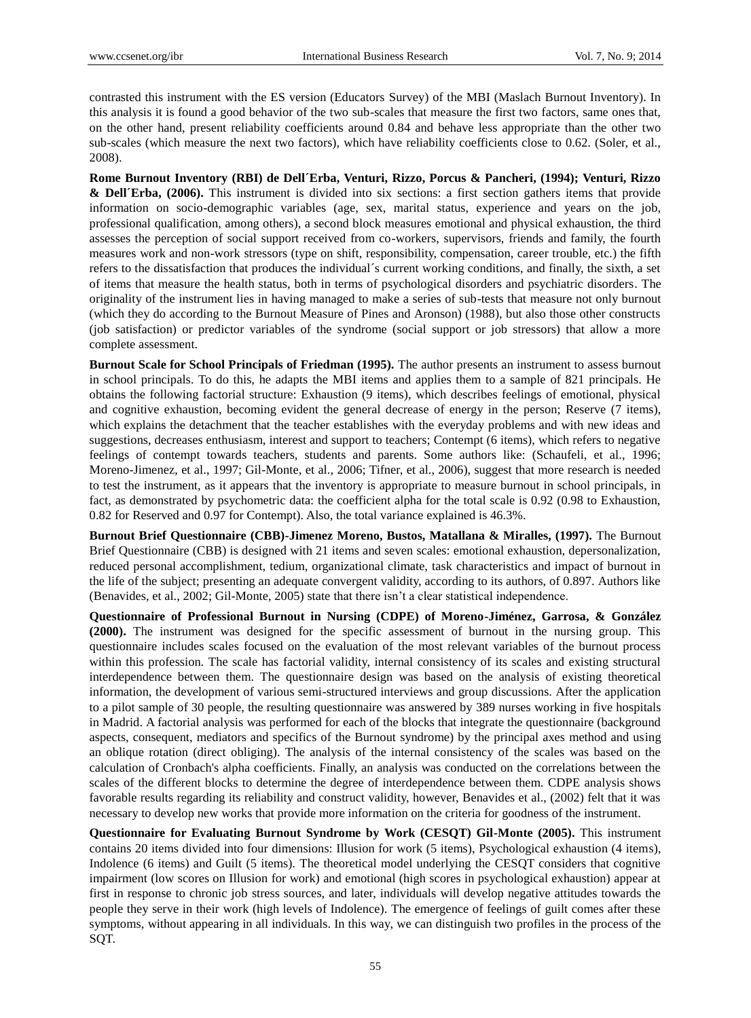contrasted this instrument with the ES version (Educators Survey) of the MBI (Maslach Burnout Inventory). In this analysis it is found a good behavior of the two sub-scales that measure the first two factors, same ones that, on the other hand, present reliability coefficients around 0.84 and behave less appropriate than the other two sub-scales (which measure the next two factors), which have reliability coefficients close to 0.62. (Soler, et al., 2008).

**Rome Burnout Inventory (RBI) de Dell´Erba, Venturi, Rizzo, Porcus & Pancheri, (1994); Venturi, Rizzo & Dell´Erba, (2006).** This instrument is divided into six sections: a first section gathers items that provide information on socio-demographic variables (age, sex, marital status, experience and years on the job, professional qualification, among others), a second block measures emotional and physical exhaustion, the third assesses the perception of social support received from co-workers, supervisors, friends and family, the fourth measures work and non-work stressors (type on shift, responsibility, compensation, career trouble, etc.) the fifth refers to the dissatisfaction that produces the individual  $\acute{\text{s}}$  current working conditions, and finally, the sixth, a set of items that measure the health status, both in terms of psychological disorders and psychiatric disorders. The originality of the instrument lies in having managed to make a series of sub-tests that measure not only burnout (which they do according to the Burnout Measure of Pines and Aronson) (1988), but also those other constructs (job satisfaction) or predictor variables of the syndrome (social support or job stressors) that allow a more complete assessment.

**Burnout Scale for School Principals of Friedman (1995).** The author presents an instrument to assess burnout in school principals. To do this, he adapts the MBI items and applies them to a sample of 821 principals. He obtains the following factorial structure: Exhaustion (9 items), which describes feelings of emotional, physical and cognitive exhaustion, becoming evident the general decrease of energy in the person; Reserve (7 items), which explains the detachment that the teacher establishes with the everyday problems and with new ideas and suggestions, decreases enthusiasm, interest and support to teachers; Contempt (6 items), which refers to negative feelings of contempt towards teachers, students and parents. Some authors like: (Schaufeli, et al., 1996; Moreno-Jimenez, et al., 1997; Gil-Monte, et al., 2006; Tifner, et al., 2006), suggest that more research is needed to test the instrument, as it appears that the inventory is appropriate to measure burnout in school principals, in fact, as demonstrated by psychometric data: the coefficient alpha for the total scale is 0.92 (0.98 to Exhaustion, 0.82 for Reserved and 0.97 for Contempt). Also, the total variance explained is 46.3%.

**Burnout Brief Questionnaire (CBB)-Jimenez Moreno, Bustos, Matallana & Miralles, (1997).** The Burnout Brief Questionnaire (CBB) is designed with 21 items and seven scales: emotional exhaustion, depersonalization, reduced personal accomplishment, tedium, organizational climate, task characteristics and impact of burnout in the life of the subject; presenting an adequate convergent validity, according to its authors, of 0.897. Authors like (Benavides, et al., 2002; Gil-Monte, 2005) state that there isn't a clear statistical independence.

**Questionnaire of Professional Burnout in Nursing (CDPE) of Moreno-Jiménez, Garrosa, & González (2000).** The instrument was designed for the specific assessment of burnout in the nursing group. This questionnaire includes scales focused on the evaluation of the most relevant variables of the burnout process within this profession. The scale has factorial validity, internal consistency of its scales and existing structural interdependence between them. The questionnaire design was based on the analysis of existing theoretical information, the development of various semi-structured interviews and group discussions. After the application to a pilot sample of 30 people, the resulting questionnaire was answered by 389 nurses working in five hospitals in Madrid. A factorial analysis was performed for each of the blocks that integrate the questionnaire (background aspects, consequent, mediators and specifics of the Burnout syndrome) by the principal axes method and using an oblique rotation (direct obliging). The analysis of the internal consistency of the scales was based on the calculation of Cronbach's alpha coefficients. Finally, an analysis was conducted on the correlations between the scales of the different blocks to determine the degree of interdependence between them. CDPE analysis shows favorable results regarding its reliability and construct validity, however, Benavides et al., (2002) felt that it was necessary to develop new works that provide more information on the criteria for goodness of the instrument.

**Questionnaire for Evaluating Burnout Syndrome by Work (CESQT) Gil-Monte (2005).** This instrument contains 20 items divided into four dimensions: Illusion for work (5 items), Psychological exhaustion (4 items), Indolence (6 items) and Guilt (5 items). The theoretical model underlying the CESQT considers that cognitive impairment (low scores on Illusion for work) and emotional (high scores in psychological exhaustion) appear at first in response to chronic job stress sources, and later, individuals will develop negative attitudes towards the people they serve in their work (high levels of Indolence). The emergence of feelings of guilt comes after these symptoms, without appearing in all individuals. In this way, we can distinguish two profiles in the process of the SQT.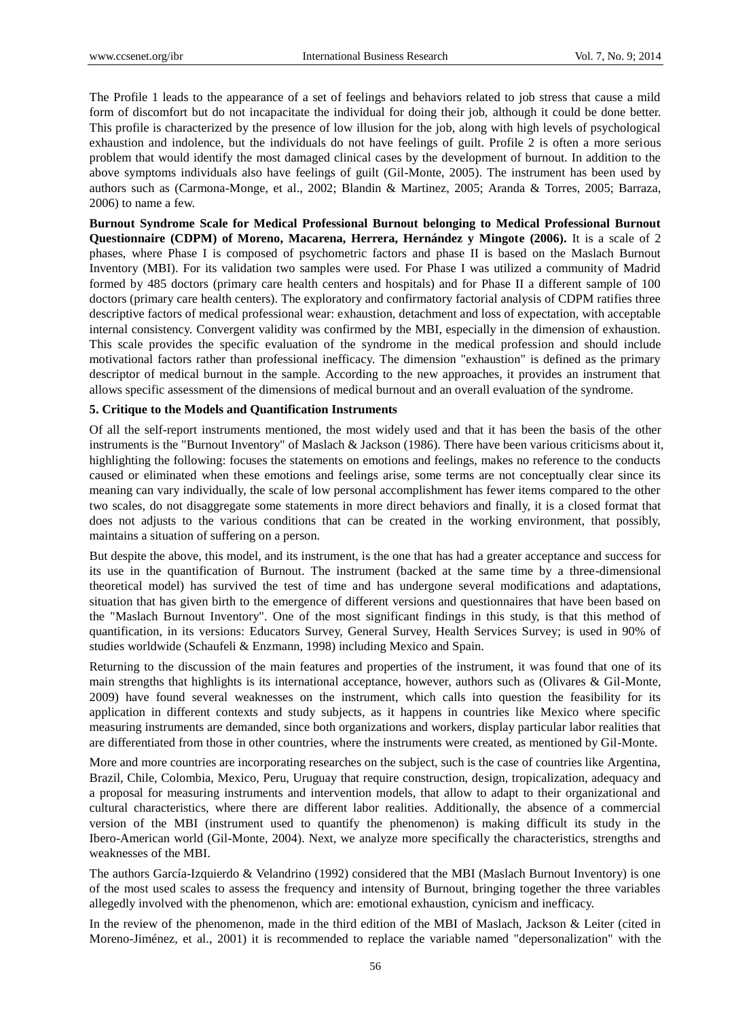The Profile 1 leads to the appearance of a set of feelings and behaviors related to job stress that cause a mild form of discomfort but do not incapacitate the individual for doing their job, although it could be done better. This profile is characterized by the presence of low illusion for the job, along with high levels of psychological exhaustion and indolence, but the individuals do not have feelings of guilt. Profile 2 is often a more serious problem that would identify the most damaged clinical cases by the development of burnout. In addition to the above symptoms individuals also have feelings of guilt (Gil-Monte, 2005). The instrument has been used by authors such as (Carmona-Monge, et al., 2002; Blandin & Martinez, 2005; Aranda & Torres, 2005; Barraza, 2006) to name a few.

**Burnout Syndrome Scale for Medical Professional Burnout belonging to Medical Professional Burnout Questionnaire (CDPM) of Moreno, Macarena, Herrera, Hernández y Mingote (2006).** It is a scale of 2 phases, where Phase I is composed of psychometric factors and phase II is based on the Maslach Burnout Inventory (MBI). For its validation two samples were used. For Phase I was utilized a community of Madrid formed by 485 doctors (primary care health centers and hospitals) and for Phase II a different sample of 100 doctors (primary care health centers). The exploratory and confirmatory factorial analysis of CDPM ratifies three descriptive factors of medical professional wear: exhaustion, detachment and loss of expectation, with acceptable internal consistency. Convergent validity was confirmed by the MBI, especially in the dimension of exhaustion. This scale provides the specific evaluation of the syndrome in the medical profession and should include motivational factors rather than professional inefficacy. The dimension "exhaustion" is defined as the primary descriptor of medical burnout in the sample. According to the new approaches, it provides an instrument that allows specific assessment of the dimensions of medical burnout and an overall evaluation of the syndrome.

#### **5. Critique to the Models and Quantification Instruments**

Of all the self-report instruments mentioned, the most widely used and that it has been the basis of the other instruments is the "Burnout Inventory" of Maslach & Jackson (1986). There have been various criticisms about it, highlighting the following: focuses the statements on emotions and feelings, makes no reference to the conducts caused or eliminated when these emotions and feelings arise, some terms are not conceptually clear since its meaning can vary individually, the scale of low personal accomplishment has fewer items compared to the other two scales, do not disaggregate some statements in more direct behaviors and finally, it is a closed format that does not adjusts to the various conditions that can be created in the working environment, that possibly, maintains a situation of suffering on a person.

But despite the above, this model, and its instrument, is the one that has had a greater acceptance and success for its use in the quantification of Burnout. The instrument (backed at the same time by a three-dimensional theoretical model) has survived the test of time and has undergone several modifications and adaptations, situation that has given birth to the emergence of different versions and questionnaires that have been based on the "Maslach Burnout Inventory". One of the most significant findings in this study, is that this method of quantification, in its versions: Educators Survey, General Survey, Health Services Survey; is used in 90% of studies worldwide (Schaufeli & Enzmann, 1998) including Mexico and Spain.

Returning to the discussion of the main features and properties of the instrument, it was found that one of its main strengths that highlights is its international acceptance, however, authors such as (Olivares & Gil-Monte, 2009) have found several weaknesses on the instrument, which calls into question the feasibility for its application in different contexts and study subjects, as it happens in countries like Mexico where specific measuring instruments are demanded, since both organizations and workers, display particular labor realities that are differentiated from those in other countries, where the instruments were created, as mentioned by Gil-Monte.

More and more countries are incorporating researches on the subject, such is the case of countries like Argentina, Brazil, Chile, Colombia, Mexico, Peru, Uruguay that require construction, design, tropicalization, adequacy and a proposal for measuring instruments and intervention models, that allow to adapt to their organizational and cultural characteristics, where there are different labor realities. Additionally, the absence of a commercial version of the MBI (instrument used to quantify the phenomenon) is making difficult its study in the Ibero-American world (Gil-Monte, 2004). Next, we analyze more specifically the characteristics, strengths and weaknesses of the MBI.

The authors Garc á-Izquierdo & Velandrino (1992) considered that the MBI (Maslach Burnout Inventory) is one of the most used scales to assess the frequency and intensity of Burnout, bringing together the three variables allegedly involved with the phenomenon, which are: emotional exhaustion, cynicism and inefficacy.

In the review of the phenomenon, made in the third edition of the MBI of Maslach, Jackson & Leiter (cited in Moreno-Jiménez, et al., 2001) it is recommended to replace the variable named "depersonalization" with the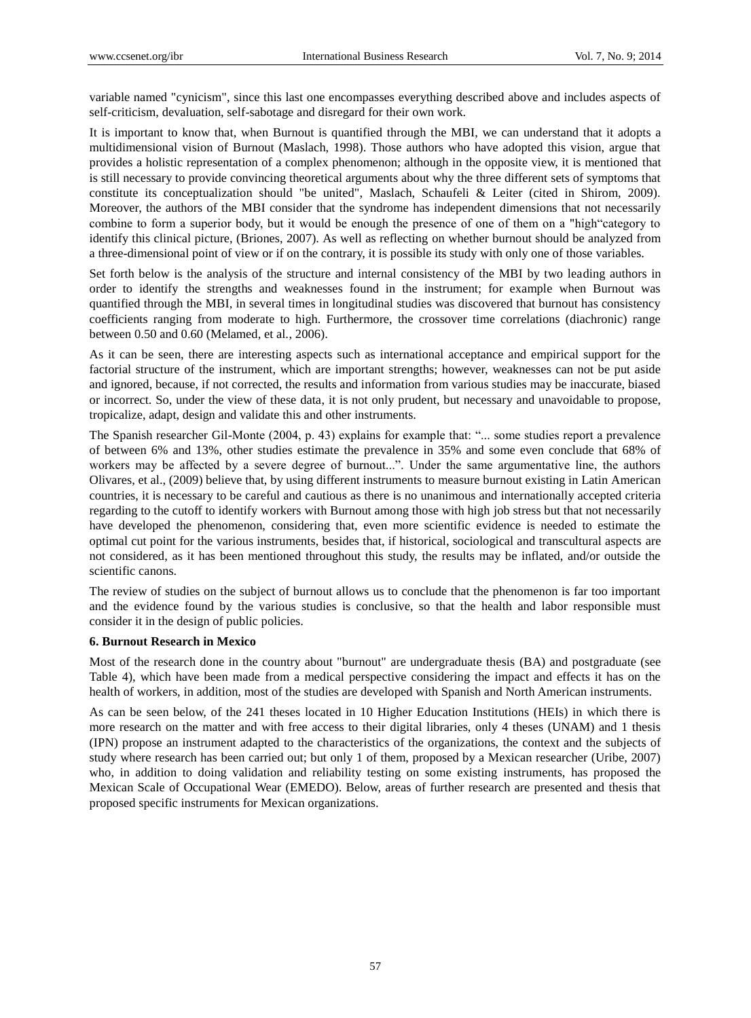variable named "cynicism", since this last one encompasses everything described above and includes aspects of self-criticism, devaluation, self-sabotage and disregard for their own work.

It is important to know that, when Burnout is quantified through the MBI, we can understand that it adopts a multidimensional vision of Burnout (Maslach, 1998). Those authors who have adopted this vision, argue that provides a holistic representation of a complex phenomenon; although in the opposite view, it is mentioned that is still necessary to provide convincing theoretical arguments about why the three different sets of symptoms that constitute its conceptualization should "be united", Maslach, Schaufeli & Leiter (cited in Shirom, 2009). Moreover, the authors of the MBI consider that the syndrome has independent dimensions that not necessarily combine to form a superior body, but it would be enough the presence of one of them on a "high"category to identify this clinical picture, (Briones, 2007). As well as reflecting on whether burnout should be analyzed from a three-dimensional point of view or if on the contrary, it is possible its study with only one of those variables.

Set forth below is the analysis of the structure and internal consistency of the MBI by two leading authors in order to identify the strengths and weaknesses found in the instrument; for example when Burnout was quantified through the MBI, in several times in longitudinal studies was discovered that burnout has consistency coefficients ranging from moderate to high. Furthermore, the crossover time correlations (diachronic) range between 0.50 and 0.60 (Melamed, et al., 2006).

As it can be seen, there are interesting aspects such as international acceptance and empirical support for the factorial structure of the instrument, which are important strengths; however, weaknesses can not be put aside and ignored, because, if not corrected, the results and information from various studies may be inaccurate, biased or incorrect. So, under the view of these data, it is not only prudent, but necessary and unavoidable to propose, tropicalize, adapt, design and validate this and other instruments.

The Spanish researcher Gil-Monte (2004, p. 43) explains for example that: "... some studies report a prevalence of between 6% and 13%, other studies estimate the prevalence in 35% and some even conclude that 68% of workers may be affected by a severe degree of burnout...". Under the same argumentative line, the authors Olivares, et al., (2009) believe that, by using different instruments to measure burnout existing in Latin American countries, it is necessary to be careful and cautious as there is no unanimous and internationally accepted criteria regarding to the cutoff to identify workers with Burnout among those with high job stress but that not necessarily have developed the phenomenon, considering that, even more scientific evidence is needed to estimate the optimal cut point for the various instruments, besides that, if historical, sociological and transcultural aspects are not considered, as it has been mentioned throughout this study, the results may be inflated, and/or outside the scientific canons.

The review of studies on the subject of burnout allows us to conclude that the phenomenon is far too important and the evidence found by the various studies is conclusive, so that the health and labor responsible must consider it in the design of public policies.

## **6. Burnout Research in Mexico**

Most of the research done in the country about "burnout" are undergraduate thesis (BA) and postgraduate (see Table 4), which have been made from a medical perspective considering the impact and effects it has on the health of workers, in addition, most of the studies are developed with Spanish and North American instruments.

As can be seen below, of the 241 theses located in 10 Higher Education Institutions (HEIs) in which there is more research on the matter and with free access to their digital libraries, only 4 theses (UNAM) and 1 thesis (IPN) propose an instrument adapted to the characteristics of the organizations, the context and the subjects of study where research has been carried out; but only 1 of them, proposed by a Mexican researcher (Uribe, 2007) who, in addition to doing validation and reliability testing on some existing instruments, has proposed the Mexican Scale of Occupational Wear (EMEDO). Below, areas of further research are presented and thesis that proposed specific instruments for Mexican organizations.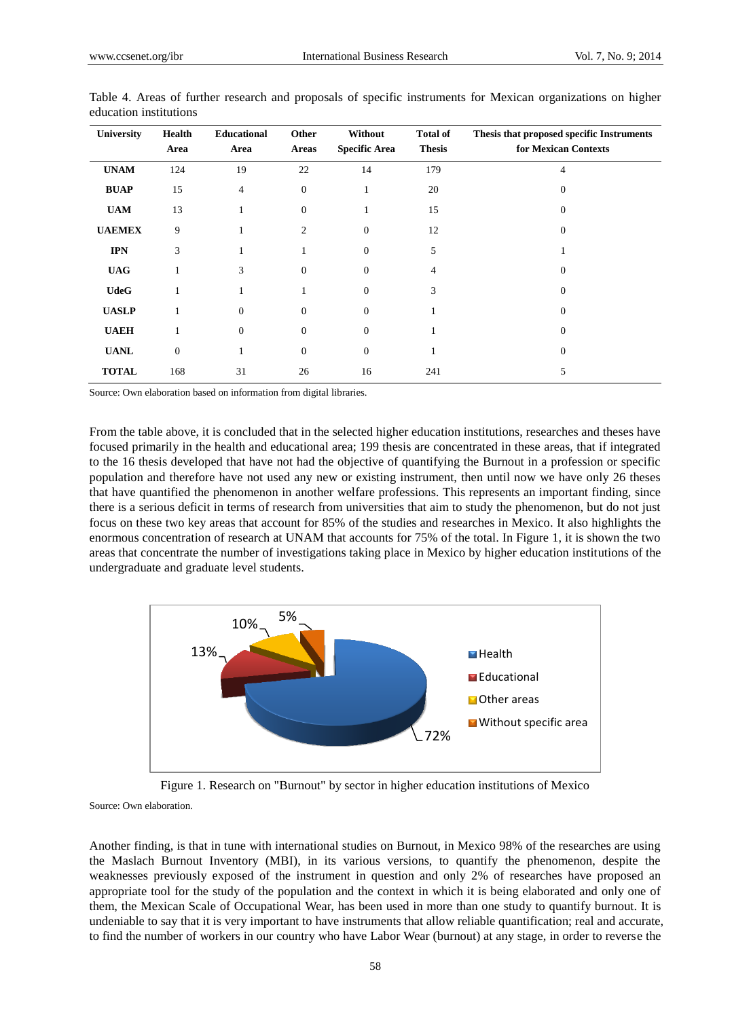| University    | <b>Health</b><br>Area | <b>Educational</b><br>Area | Other<br><b>Areas</b> | Without<br><b>Specific Area</b> | <b>Total of</b><br><b>Thesis</b> | Thesis that proposed specific Instruments<br>for Mexican Contexts |
|---------------|-----------------------|----------------------------|-----------------------|---------------------------------|----------------------------------|-------------------------------------------------------------------|
| <b>UNAM</b>   | 124                   | 19                         | 22                    | 14                              | 179                              | 4                                                                 |
| <b>BUAP</b>   | 15                    | $\overline{4}$             | $\boldsymbol{0}$      | 1                               | 20                               | 0                                                                 |
| <b>UAM</b>    | 13                    |                            | $\boldsymbol{0}$      | 1                               | 15                               | 0                                                                 |
| <b>UAEMEX</b> | 9                     |                            | $\overline{c}$        | $\mathbf{0}$                    | 12                               | $\Omega$                                                          |
| <b>IPN</b>    | 3                     |                            |                       | $\overline{0}$                  | 5                                |                                                                   |
| <b>UAG</b>    |                       | 3                          | $\mathbf{0}$          | $\overline{0}$                  | 4                                | 0                                                                 |
| <b>UdeG</b>   |                       |                            |                       | $\mathbf{0}$                    | 3                                | $\Omega$                                                          |
| <b>UASLP</b>  |                       | $\Omega$                   | $\mathbf{0}$          | $\overline{0}$                  |                                  | $\Omega$                                                          |
| <b>UAEH</b>   |                       | $\Omega$                   | $\mathbf{0}$          | $\overline{0}$                  |                                  | $\Omega$                                                          |
| <b>UANL</b>   | $\mathbf{0}$          |                            | $\mathbf{0}$          | $\overline{0}$                  |                                  | $\Omega$                                                          |
| <b>TOTAL</b>  | 168                   | 31                         | 26                    | 16                              | 241                              | 5                                                                 |

Table 4. Areas of further research and proposals of specific instruments for Mexican organizations on higher education institutions

Source: Own elaboration based on information from digital libraries.

From the table above, it is concluded that in the selected higher education institutions, researches and theses have focused primarily in the health and educational area; 199 thesis are concentrated in these areas, that if integrated to the 16 thesis developed that have not had the objective of quantifying the Burnout in a profession or specific population and therefore have not used any new or existing instrument, then until now we have only 26 theses that have quantified the phenomenon in another welfare professions. This represents an important finding, since there is a serious deficit in terms of research from universities that aim to study the phenomenon, but do not just focus on these two key areas that account for 85% of the studies and researches in Mexico. It also highlights the enormous concentration of research at UNAM that accounts for 75% of the total. In Figure 1, it is shown the two areas that concentrate the number of investigations taking place in Mexico by higher education institutions of the undergraduate and graduate level students.



Figure 1. Research on "Burnout" by sector in higher education institutions of Mexico

Source: Own elaboration.

Another finding, is that in tune with international studies on Burnout, in Mexico 98% of the researches are using the Maslach Burnout Inventory (MBI), in its various versions, to quantify the phenomenon, despite the weaknesses previously exposed of the instrument in question and only 2% of researches have proposed an appropriate tool for the study of the population and the context in which it is being elaborated and only one of them, the Mexican Scale of Occupational Wear, has been used in more than one study to quantify burnout. It is undeniable to say that it is very important to have instruments that allow reliable quantification; real and accurate, to find the number of workers in our country who have Labor Wear (burnout) at any stage, in order to reverse the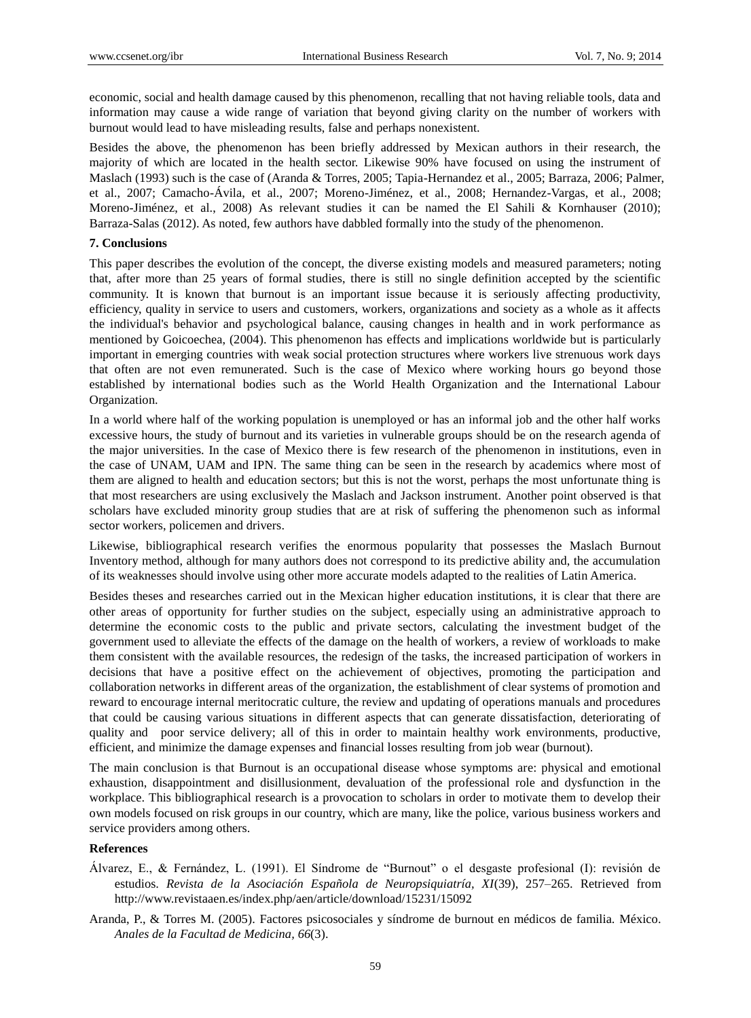economic, social and health damage caused by this phenomenon, recalling that not having reliable tools, data and information may cause a wide range of variation that beyond giving clarity on the number of workers with burnout would lead to have misleading results, false and perhaps nonexistent.

Besides the above, the phenomenon has been briefly addressed by Mexican authors in their research, the majority of which are located in the health sector. Likewise 90% have focused on using the instrument of Maslach (1993) such is the case of (Aranda & Torres, 2005; Tapia-Hernandez et al., 2005; Barraza, 2006; Palmer, et al., 2007; Camacho-Ávila, et al., 2007; Moreno-Jiménez, et al., 2008; Hernandez-Vargas, et al., 2008; Moreno-Jiménez, et al., 2008) As relevant studies it can be named the El Sahili & Kornhauser (2010); Barraza-Salas (2012). As noted, few authors have dabbled formally into the study of the phenomenon.

#### **7. Conclusions**

This paper describes the evolution of the concept, the diverse existing models and measured parameters; noting that, after more than 25 years of formal studies, there is still no single definition accepted by the scientific community. It is known that burnout is an important issue because it is seriously affecting productivity, efficiency, quality in service to users and customers, workers, organizations and society as a whole as it affects the individual's behavior and psychological balance, causing changes in health and in work performance as mentioned by Goicoechea, (2004). This phenomenon has effects and implications worldwide but is particularly important in emerging countries with weak social protection structures where workers live strenuous work days that often are not even remunerated. Such is the case of Mexico where working hours go beyond those established by international bodies such as the World Health Organization and the International Labour Organization.

In a world where half of the working population is unemployed or has an informal job and the other half works excessive hours, the study of burnout and its varieties in vulnerable groups should be on the research agenda of the major universities. In the case of Mexico there is few research of the phenomenon in institutions, even in the case of UNAM, UAM and IPN. The same thing can be seen in the research by academics where most of them are aligned to health and education sectors; but this is not the worst, perhaps the most unfortunate thing is that most researchers are using exclusively the Maslach and Jackson instrument. Another point observed is that scholars have excluded minority group studies that are at risk of suffering the phenomenon such as informal sector workers, policemen and drivers.

Likewise, bibliographical research verifies the enormous popularity that possesses the Maslach Burnout Inventory method, although for many authors does not correspond to its predictive ability and, the accumulation of its weaknesses should involve using other more accurate models adapted to the realities of Latin America.

Besides theses and researches carried out in the Mexican higher education institutions, it is clear that there are other areas of opportunity for further studies on the subject, especially using an administrative approach to determine the economic costs to the public and private sectors, calculating the investment budget of the government used to alleviate the effects of the damage on the health of workers, a review of workloads to make them consistent with the available resources, the redesign of the tasks, the increased participation of workers in decisions that have a positive effect on the achievement of objectives, promoting the participation and collaboration networks in different areas of the organization, the establishment of clear systems of promotion and reward to encourage internal meritocratic culture, the review and updating of operations manuals and procedures that could be causing various situations in different aspects that can generate dissatisfaction, deteriorating of quality and poor service delivery; all of this in order to maintain healthy work environments, productive, efficient, and minimize the damage expenses and financial losses resulting from job wear (burnout).

The main conclusion is that Burnout is an occupational disease whose symptoms are: physical and emotional exhaustion, disappointment and disillusionment, devaluation of the professional role and dysfunction in the workplace. This bibliographical research is a provocation to scholars in order to motivate them to develop their own models focused on risk groups in our country, which are many, like the police, various business workers and service providers among others.

# **References**

- Álvarez, E., & Fernández, L. (1991). El Síndrome de "Burnout" o el desgaste profesional (I): revisión de estudios. *Revista de la Asociación Española de Neuropsiquiatría, XI*(39), 257–265. Retrieved from http://www.revistaaen.es/index.php/aen/article/download/15231/15092
- Aranda, P., & Torres M. (2005). Factores psicosociales y síndrome de burnout en médicos de familia. México. *Anales de la Facultad de Medicina, 66*(3).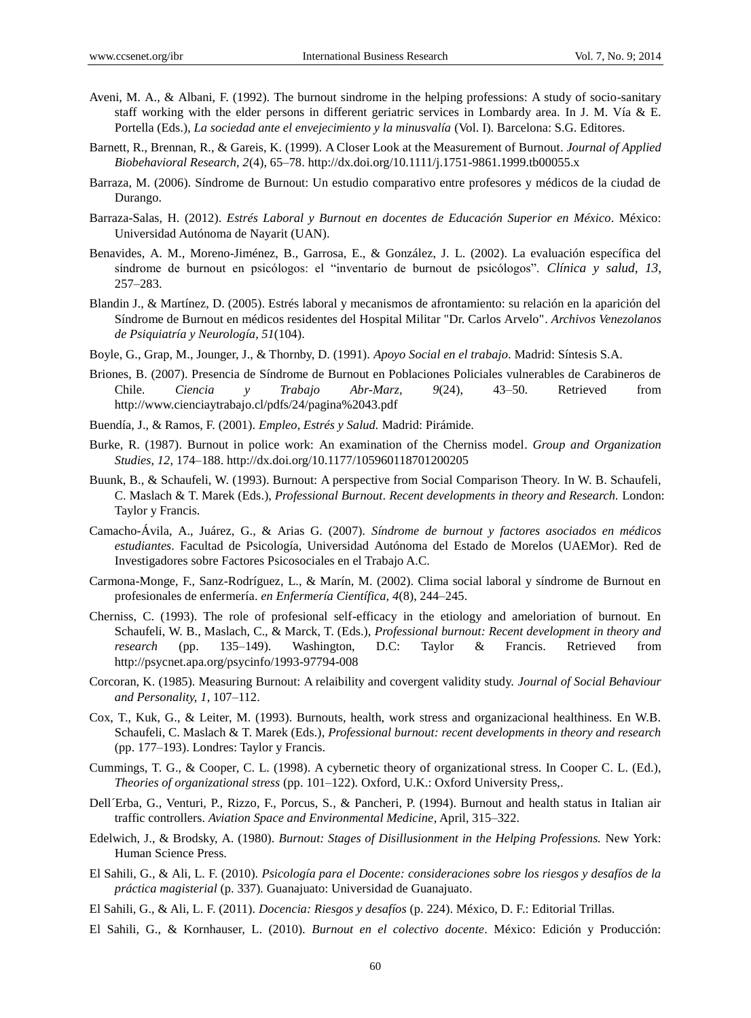- Aveni, M. A., & Albani, F. (1992). The burnout sindrome in the helping professions: A study of socio-sanitary staff working with the elder persons in different geriatric services in Lombardy area. In J. M. V  $\land \& E$ . Portella (Eds.), *La sociedad ante el envejecimiento y la minusvalía* (Vol. I). Barcelona: S.G. Editores.
- Barnett, R., Brennan, R., & Gareis, K. (1999). A Closer Look at the Measurement of Burnout. *Journal of Applied Biobehavioral Research, 2*(4), 65–78. http://dx.doi.org/10.1111/j.1751-9861.1999.tb00055.x
- Barraza, M. (2006). Síndrome de Burnout: Un estudio comparativo entre profesores y médicos de la ciudad de Durango.
- Barraza-Salas, H. (2012). *Estrés Laboral y Burnout en docentes de Educación Superior en México*. México: Universidad Autónoma de Nayarit (UAN).
- Benavides, A. M., Moreno-Jiménez, B., Garrosa, E., & González, J. L. (2002). La evaluación específica del síndrome de burnout en psicólogos: el "inventario de burnout de psicólogos". *Clínica y salud, 13,* 257–283.
- Blandin J., & Martínez, D. (2005). Estrés laboral y mecanismos de afrontamiento: su relación en la aparición del Síndrome de Burnout en médicos residentes del Hospital Militar "Dr. Carlos Arvelo". *Archivos Venezolanos de Psiquiatría y Neurología, 51*(104).
- Boyle, G., Grap, M., Jounger, J., & Thornby, D. (1991). *Apoyo Social en el trabajo*. Madrid: Síntesis S.A.
- Briones, B. (2007). Presencia de Síndrome de Burnout en Poblaciones Policiales vulnerables de Carabineros de Chile. *Ciencia y Trabajo Abr-Marz, 9*(24), 43–50. Retrieved from http://www.cienciaytrabajo.cl/pdfs/24/pagina%2043.pdf
- Buendía, J., & Ramos, F. (2001). *Empleo, Estrés y Salud.* Madrid: Pirámide.
- Burke, R. (1987). Burnout in police work: An examination of the Cherniss model. *Group and Organization Studies, 12*, 174–188. http://dx.doi.org/10.1177/105960118701200205
- Buunk, B., & Schaufeli, W. (1993). Burnout: A perspective from Social Comparison Theory. In W. B. Schaufeli, C. Maslach & T. Marek (Eds.), *Professional Burnout*. *Recent developments in theory and Research.* London: Taylor y Francis.
- Camacho-Ávila, A., Juárez, G., & Arias G. (2007). *Síndrome de burnout y factores asociados en médicos*  estudiantes. Facultad de Psicología, Universidad Autónoma del Estado de Morelos (UAEMor). Red de Investigadores sobre Factores Psicosociales en el Trabajo A.C.
- Carmona-Monge, F., Sanz-Rodr guez, L., & Mar n, M. (2002). Clima social laboral y s ndrome de Burnout en profesionales de enfermería. *en Enfermería Científica, 4*(8), 244–245.
- Cherniss, C. (1993). The role of profesional self-efficacy in the etiology and ameloriation of burnout. En Schaufeli, W. B., Maslach, C., & Marck, T. (Eds.), *Professional burnout: Recent development in theory and research* (pp. 135–149). Washington, D.C: Taylor & Francis. Retrieved from http://psycnet.apa.org/psycinfo/1993-97794-008
- Corcoran, K. (1985). Measuring Burnout: A relaibility and covergent validity study. *Journal of Social Behaviour and Personality, 1*, 107–112.
- Cox, T., Kuk, G., & Leiter, M. (1993). Burnouts, health, work stress and organizacional healthiness. En W.B. Schaufeli, C. Maslach & T. Marek (Eds.), *Professional burnout: recent developments in theory and research* (pp. 177–193). Londres: Taylor y Francis.
- Cummings, T. G., & Cooper, C. L. (1998). A cybernetic theory of organizational stress. In Cooper C. L. (Ed.), *Theories of organizational stress* (pp. 101–122). Oxford, U.K.: Oxford University Press,.
- Dell´Erba, G., Venturi, P., Rizzo, F., Porcus, S., & Pancheri, P. (1994). Burnout and health status in Italian air traffic controllers. *Aviation Space and Environmental Medicine*, April, 315–322.
- Edelwich, J., & Brodsky, A. (1980). *Burnout: Stages of Disillusionment in the Helping Professions.* New York: Human Science Press.
- El Sahili, G., & Ali, L. F. (2010). *Psicología para el Docente: consideraciones sobre los riesgos y desafíos de la práctica magisterial* (p. 337)*.* Guanajuato: Universidad de Guanajuato.
- El Sahili, G., & Ali, L. F. (2011). *Docencia: Riesgos y desafíos* (p. 224). México, D. F.: Editorial Trillas.
- El Sahili, G., & Kornhauser, L. (2010). *Burnout en el colectivo docente*. México: Edición y Producción: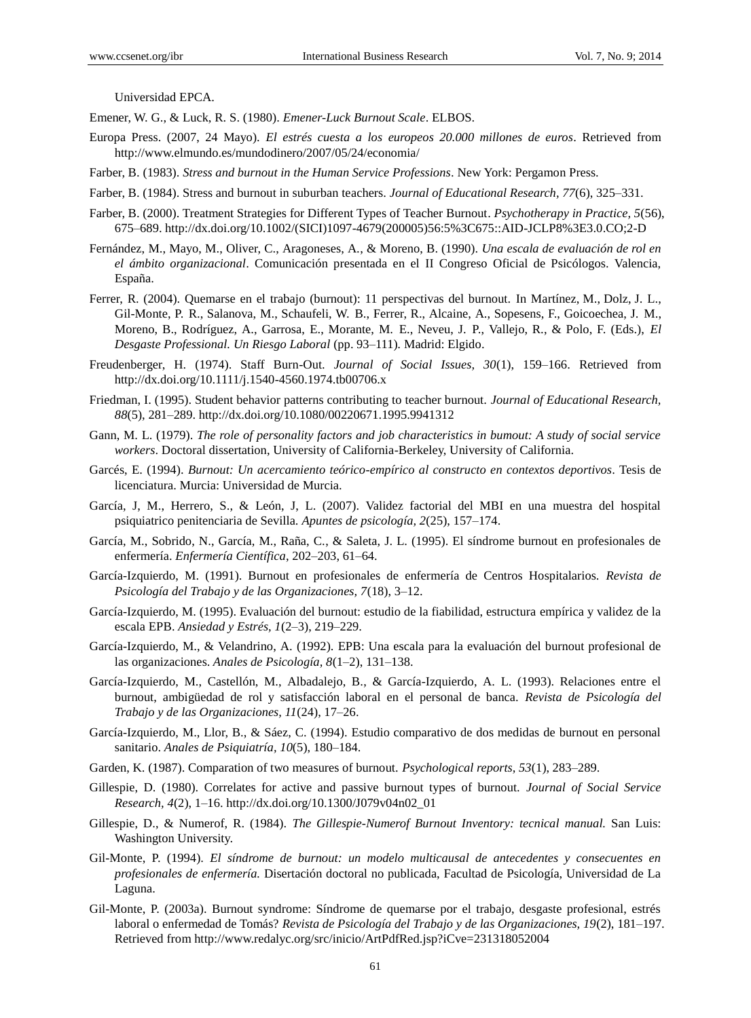Universidad EPCA.

Emener, W. G., & Luck, R. S. (1980). *Emener-Luck Burnout Scale*. ELBOS.

- Europa Press. (2007, 24 Mayo). *El estrés cuesta a los europeos 20.000 millones de euros*. Retrieved from http://www.elmundo.es/mundodinero/2007/05/24/economia/
- Farber, B. (1983). *Stress and burnout in the Human Service Professions*. New York: Pergamon Press.
- Farber, B. (1984). Stress and burnout in suburban teachers. *Journal of Educational Research, 77*(6), 325–331.
- Farber, B. (2000). Treatment Strategies for Different Types of Teacher Burnout. *Psychotherapy in Practice, 5*(56), 675–689. http://dx.doi.org/10.1002/(SICI)1097-4679(200005)56:5%3C675::AID-JCLP8%3E3.0.CO;2-D
- Fernández, M., Mayo, M., Oliver, C., Aragoneses, A., & Moreno, B. (1990). *Una escala de evaluación de rol en el ámbito organizacional*. Comunicación presentada en el II Congreso Oficial de Psicólogos. Valencia, España.
- Ferrer, R. (2004). Quemarse en el trabajo (burnout): 11 perspectivas del burnout. In Mart nez, M., Dolz, J. L., Gil-Monte, P. R., Salanova, M., Schaufeli, W. B., Ferrer, R., Alcaine, A., Sopesens, F., Goicoechea, J. M., Moreno, B., Rodríguez, A., Garrosa, E., Morante, M. E., Neveu, J. P., Vallejo, R., & Polo, F. (Eds.), *El Desgaste Professional. Un Riesgo Laboral* (pp. 93–111)*.* Madrid: Elgido.
- Freudenberger, H. (1974). Staff Burn-Out. *Journal of Social Issues, 30*(1), 159–166. Retrieved from http://dx.doi.org/10.1111/j.1540-4560.1974.tb00706.x
- Friedman, I. (1995). Student behavior patterns contributing to teacher burnout. *Journal of Educational Research, 88*(5), 281–289. http://dx.doi.org/10.1080/00220671.1995.9941312
- Gann, M. L. (1979). *The role of personality factors and job characteristics in bumout: A study of social service workers*. Doctoral dissertation, University of California-Berkeley, University of California.
- Garcés, E. (1994). *Burnout: Un acercamiento teórico-empírico al constructo en contextos deportivos*. Tesis de licenciatura. Murcia: Universidad de Murcia.
- García, J, M., Herrero, S., & León, J, L. (2007). Validez factorial del MBI en una muestra del hospital psiquiatrico penitenciaria de Sevilla. *Apuntes de psicología, 2*(25), 157–174.
- García, M., Sobrido, N., García, M., Raña, C., & Saleta, J. L. (1995). El síndrome burnout en profesionales de enfermer *á. Enfermer á Cient fica*, 202–203, 61–64.
- García-Izquierdo, M. (1991). Burnout en profesionales de enfermería de Centros Hospitalarios. *Revista de Psicología del Trabajo y de las Organizaciones, 7*(18), 3–12.
- García-Izquierdo, M. (1995). Evaluación del burnout: estudio de la fiabilidad, estructura empírica y validez de la escala EPB. *Ansiedad y Estrés, 1*(2–3), 219–229.
- Garc á-Izquierdo, M., & Velandrino, A. (1992). EPB: Una escala para la evaluación del burnout profesional de las organizaciones. *Anales de Psicología, 8*(1–2), 131–138.
- García-Izquierdo, M., Castellón, M., Albadalejo, B., & García-Izquierdo, A. L. (1993). Relaciones entre el burnout, ambigüedad de rol y satisfacción laboral en el personal de banca. *Revista de Psicología del Trabajo y de las Organizaciones, 11*(24), 17–26.
- Garc á-Izquierdo, M., Llor, B., & S áez, C. (1994). Estudio comparativo de dos medidas de burnout en personal sanitario. *Anales de Psiquiatr á, 10*(5), 180-184.
- Garden, K. (1987). Comparation of two measures of burnout. *Psychological reports, 53*(1), 283–289.
- Gillespie, D. (1980). Correlates for active and passive burnout types of burnout. *Journal of Social Service Research, 4*(2), 1–16. http://dx.doi.org/10.1300/J079v04n02\_01
- Gillespie, D., & Numerof, R. (1984). *The Gillespie-Numerof Burnout Inventory: tecnical manual.* San Luis: Washington University.
- Gil-Monte, P. (1994). *El síndrome de burnout: un modelo multicausal de antecedentes y consecuentes en profesionales de enfermería.* Disertación doctoral no publicada, Facultad de Psicología, Universidad de La Laguna.
- Gil-Monte, P. (2003a). Burnout syndrome: Síndrome de quemarse por el trabajo, desgaste profesional, estrés laboral o enfermedad de Tomás? *Revista de Psicología del Trabajo y de las Organizaciones, 19*(2), 181–197. Retrieved from http://www.redalyc.org/src/inicio/ArtPdfRed.jsp?iCve=231318052004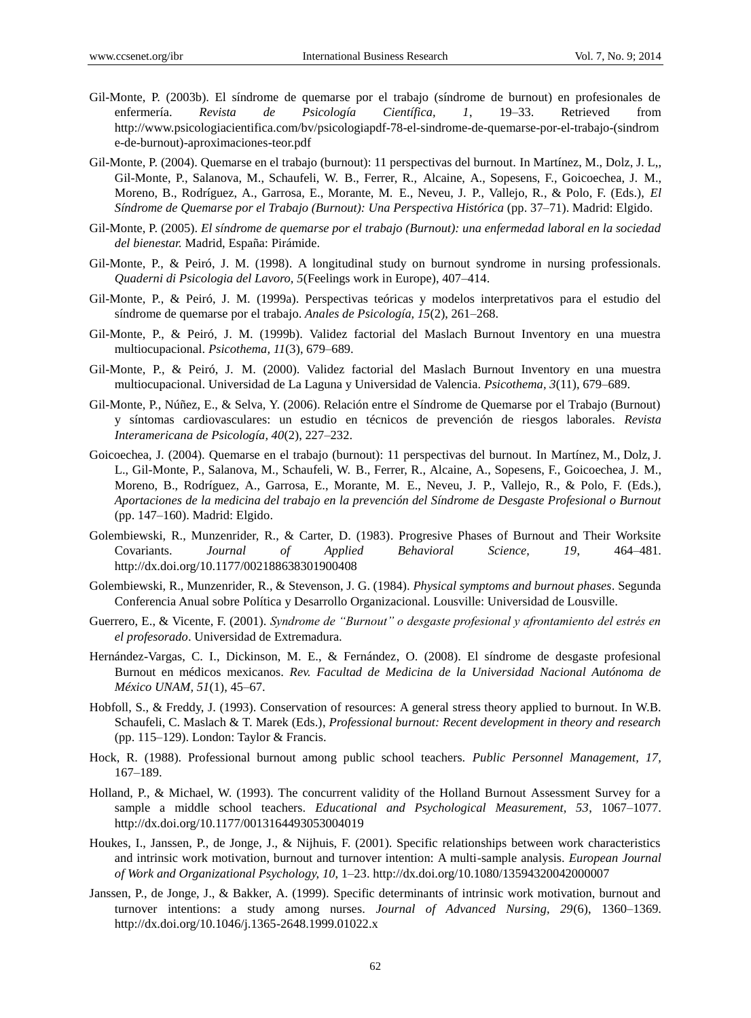- Gil-Monte, P. (2003b). El síndrome de quemarse por el trabajo (síndrome de burnout) en profesionales de enfermería. *Revista de Psicología Científica, 1*, 19–33. Retrieved from http://www.psicologiacientifica.com/bv/psicologiapdf-78-el-sindrome-de-quemarse-por-el-trabajo-(sindrom e-de-burnout)-aproximaciones-teor.pdf
- Gil-Monte, P. (2004). Quemarse en el trabajo (burnout): 11 perspectivas del burnout. In Mart nez, M., Dolz, J. L., Gil-Monte, P., Salanova, M., Schaufeli, W. B., Ferrer, R., Alcaine, A., Sopesens, F., Goicoechea, J. M., Moreno, B., Rodríguez, A., Garrosa, E., Morante, M. E., Neveu, J. P., Vallejo, R., & Polo, F. (Eds.), *El Síndrome de Quemarse por el Trabajo (Burnout): Una Perspectiva Histórica* (pp. 37–71). Madrid: Elgido.
- Gil-Monte, P. (2005). *El síndrome de quemarse por el trabajo (Burnout): una enfermedad laboral en la sociedad del bienestar.* Madrid, España: Pirámide.
- Gil-Monte, P., & Peiró, J. M. (1998). A longitudinal study on burnout syndrome in nursing professionals. *Quaderni di Psicologia del Lavoro, 5*(Feelings work in Europe), 407–414.
- Gil-Monte, P., & Peiró, J. M. (1999a). Perspectivas teóricas y modelos interpretativos para el estudio del s *fidrome de quemarse por el trabajo. Anales de Psicolog <i>fa*, 15(2), 261–268.
- Gil-Monte, P., & Peiró, J. M. (1999b). Validez factorial del Maslach Burnout Inventory en una muestra multiocupacional. *Psicothema, 11*(3), 679–689.
- Gil-Monte, P., & Peiró, J. M. (2000). Validez factorial del Maslach Burnout Inventory en una muestra multiocupacional. Universidad de La Laguna y Universidad de Valencia. *Psicothema, 3*(11), 679–689.
- Gil-Monte, P., Núñez, E., & Selva, Y. (2006). Relación entre el Síndrome de Quemarse por el Trabajo (Burnout) y síntomas cardiovasculares: un estudio en técnicos de prevención de riesgos laborales. *Revista Interamericana de Psicología, 40*(2), 227–232.
- Goicoechea, J. (2004). Quemarse en el trabajo (burnout): 11 perspectivas del burnout. In Martínez, M., Dolz, J. L., Gil-Monte, P., Salanova, M., Schaufeli, W. B., Ferrer, R., Alcaine, A., Sopesens, F., Goicoechea, J. M., Moreno, B., Rodr guez, A., Garrosa, E., Morante, M. E., Neveu, J. P., Vallejo, R., & Polo, F. (Eds.), *Aportaciones de la medicina del trabajo en la prevención del Síndrome de Desgaste Profesional o Burnout* (pp. 147–160). Madrid: Elgido.
- Golembiewski, R., Munzenrider, R., & Carter, D. (1983). Progresive Phases of Burnout and Their Worksite Covariants. *Journal of Applied Behavioral Science, 19*, 464–481. http://dx.doi.org/10.1177/002188638301900408
- Golembiewski, R., Munzenrider, R., & Stevenson, J. G. (1984). *Physical symptoms and burnout phases*. Segunda Conferencia Anual sobre Política y Desarrollo Organizacional. Lousville: Universidad de Lousville.
- Guerrero, E., & Vicente, F. (2001). *Syndrome de "Burnout" o desgaste profesional y afrontamiento del estrés en el profesorado*. Universidad de Extremadura.
- Hernández-Vargas, C. I., Dickinson, M. E., & Fernández, O. (2008). El síndrome de desgaste profesional Burnout en médicos mexicanos. *Rev. Facultad de Medicina de la Universidad Nacional Autónoma de México UNAM, 51*(1), 45–67.
- Hobfoll, S., & Freddy, J. (1993). Conservation of resources: A general stress theory applied to burnout. In W.B. Schaufeli, C. Maslach & T. Marek (Eds.), *Professional burnout: Recent development in theory and research*  (pp. 115–129). London: Taylor & Francis.
- Hock, R. (1988). Professional burnout among public school teachers. *Public Personnel Management, 17,* 167–189.
- Holland, P., & Michael, W. (1993). The concurrent validity of the Holland Burnout Assessment Survey for a sample a middle school teachers. *Educational and Psychological Measurement, 53*, 1067–1077. http://dx.doi.org/10.1177/0013164493053004019
- Houkes, I., Janssen, P., de Jonge, J., & Nijhuis, F. (2001). Specific relationships between work characteristics and intrinsic work motivation, burnout and turnover intention: A multi-sample analysis. *European Journal of Work and Organizational Psychology, 10*, 1–23. http://dx.doi.org/10.1080/13594320042000007
- Janssen, P., de Jonge, J., & Bakker, A. (1999). Specific determinants of intrinsic work motivation, burnout and turnover intentions: a study among nurses. *Journal of Advanced Nursing, 29*(6), 1360–1369. http://dx.doi.org/10.1046/j.1365-2648.1999.01022.x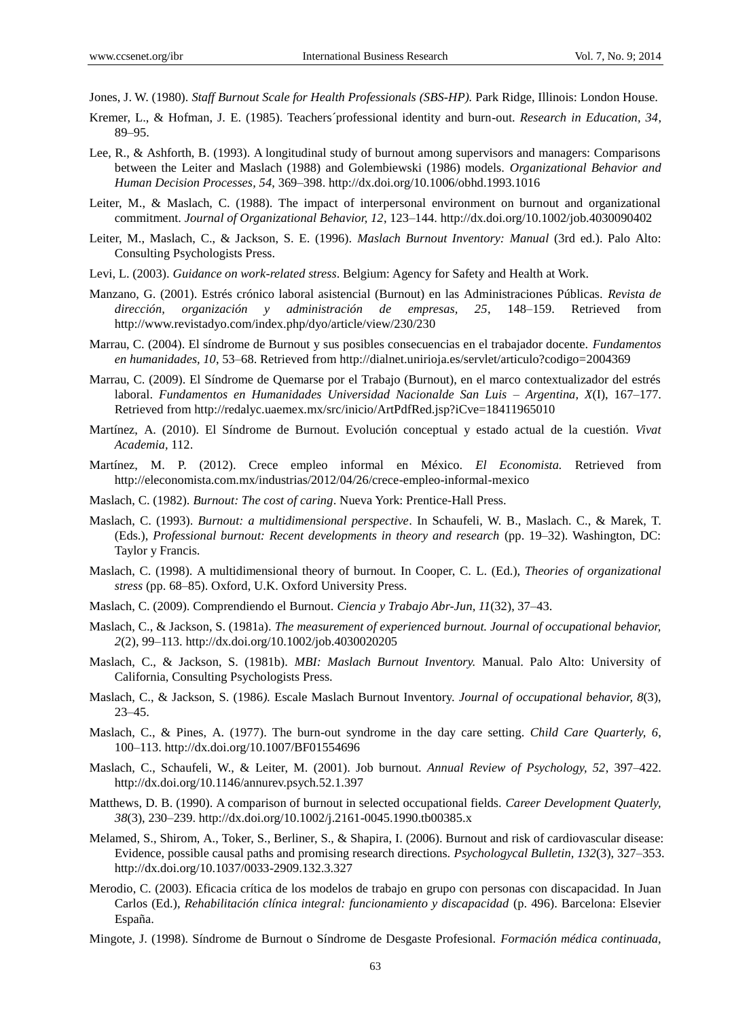- Jones, J. W. (1980). *Staff Burnout Scale for Health Professionals (SBS-HP).* Park Ridge, Illinois: London House.
- Kremer, L., & Hofman, J. E. (1985). Teachers´professional identity and burn-out. *Research in Education, 34*, 89–95.
- Lee, R., & Ashforth, B. (1993). A longitudinal study of burnout among supervisors and managers: Comparisons between the Leiter and Maslach (1988) and Golembiewski (1986) models. *Organizational Behavior and Human Decision Processes, 54*, 369–398. http://dx.doi.org/10.1006/obhd.1993.1016
- Leiter, M., & Maslach, C. (1988). The impact of interpersonal environment on burnout and organizational commitment. *Journal of Organizational Behavior, 12*, 123–144. http://dx.doi.org/10.1002/job.4030090402
- Leiter, M., Maslach, C., & Jackson, S. E. (1996). *Maslach Burnout Inventory: Manual* (3rd ed.). Palo Alto: Consulting Psychologists Press.
- Levi, L. (2003). *Guidance on work-related stress*. Belgium: Agency for Safety and Health at Work.
- Manzano, G. (2001). Estrés crónico laboral asistencial (Burnout) en las Administraciones Públicas. *Revista de dirección, organización y administración de empresas, 25*, 148–159. Retrieved from http://www.revistadyo.com/index.php/dyo/article/view/230/230
- Marrau, C. (2004). El síndrome de Burnout y sus posibles consecuencias en el trabajador docente. *Fundamentos en humanidades, 10*, 53–68. Retrieved from http://dialnet.unirioja.es/servlet/articulo?codigo=2004369
- Marrau, C. (2009). El S índrome de Quemarse por el Trabajo (Burnout), en el marco contextualizador del estrés laboral. *Fundamentos en Humanidades Universidad Nacionalde San Luis – Argentina, X*(I), 167–177. Retrieved from http://redalyc.uaemex.mx/src/inicio/ArtPdfRed.jsp?iCve=18411965010
- Martínez, A. (2010). El Síndrome de Burnout. Evolución conceptual y estado actual de la cuestión. *Vivat Academia,* 112.
- Martínez, M. P. (2012). Crece empleo informal en México. *El Economista.* Retrieved from http://eleconomista.com.mx/industrias/2012/04/26/crece-empleo-informal-mexico
- Maslach, C. (1982). *Burnout: The cost of caring*. Nueva York: Prentice-Hall Press.
- Maslach, C. (1993). *Burnout: a multidimensional perspective*. In Schaufeli, W. B., Maslach. C., & Marek, T. (Eds.), *Professional burnout: Recent developments in theory and research* (pp. 19–32). Washington, DC: Taylor y Francis.
- Maslach, C. (1998). A multidimensional theory of burnout. In Cooper, C. L. (Ed.), *Theories of organizational stress* (pp. 68–85). Oxford, U.K. Oxford University Press.
- Maslach, C. (2009). Comprendiendo el Burnout. *Ciencia y Trabajo Abr-Jun, 11*(32), 37–43.
- Maslach, C., & Jackson, S. (1981a). *The measurement of experienced burnout. Journal of occupational behavior, 2*(2), 99–113. http://dx.doi.org/10.1002/job.4030020205
- Maslach, C., & Jackson, S. (1981b). *MBI: Maslach Burnout Inventory.* Manual. Palo Alto: University of California, Consulting Psychologists Press.
- Maslach, C., & Jackson, S. (1986*).* Escale Maslach Burnout Inventory. *Journal of occupational behavior, 8*(3), 23–45.
- Maslach, C., & Pines, A. (1977). The burn-out syndrome in the day care setting. *Child Care Quarterly, 6*, 100–113. http://dx.doi.org/10.1007/BF01554696
- Maslach, C., Schaufeli, W., & Leiter, M. (2001). Job burnout. *Annual Review of Psychology, 52*, 397–422. http://dx.doi.org/10.1146/annurev.psych.52.1.397
- Matthews, D. B. (1990). A comparison of burnout in selected occupational fields. *Career Development Quaterly, 38*(3), 230–239. http://dx.doi.org/10.1002/j.2161-0045.1990.tb00385.x
- Melamed, S., Shirom, A., Toker, S., Berliner, S., & Shapira, I. (2006). Burnout and risk of cardiovascular disease: Evidence, possible causal paths and promising research directions. *Psychologycal Bulletin, 132*(3), 327–353. http://dx.doi.org/10.1037/0033-2909.132.3.327
- Merodio, C. (2003). Eficacia crítica de los modelos de trabajo en grupo con personas con discapacidad. In Juan Carlos (Ed.), *Rehabilitación clínica integral: funcionamiento y discapacidad* (p. 496). Barcelona: Elsevier España.
- Mingote, J. (1998). Síndrome de Burnout o Síndrome de Desgaste Profesional. *Formación mádica continuada*,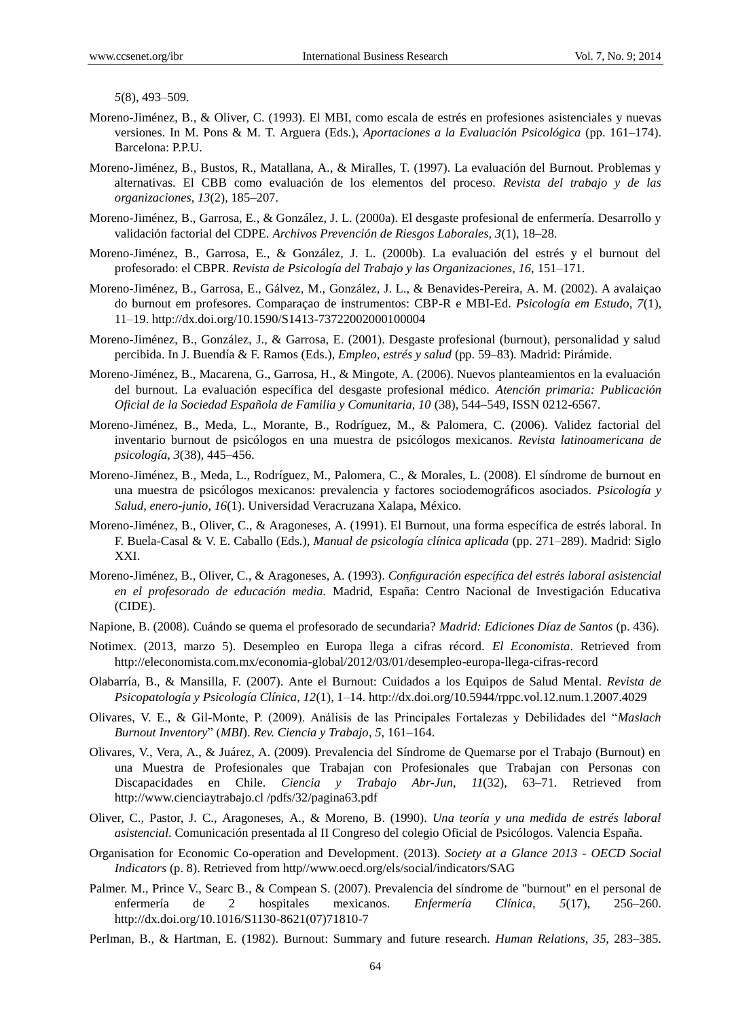*5*(8), 493–509.

- Moreno-Jiménez, B., & Oliver, C. (1993). El MBI, como escala de estrés en profesiones asistenciales y nuevas versiones. In M. Pons & M. T. Arguera (Eds.), *Aportaciones a la Evaluación Psicológica* (pp. 161–174). Barcelona: P.P.U.
- Moreno-Jiménez, B., Bustos, R., Matallana, A., & Miralles, T. (1997). La evaluación del Burnout. Problemas y alternativas. El CBB como evaluación de los elementos del proceso. *Revista del trabajo y de las organizaciones, 13*(2), 185–207.
- Moreno-Jiménez, B., Garrosa, E., & González, J. L. (2000a). El desgaste profesional de enfermer á. Desarrollo y validación factorial del CDPE. *Archivos Prevención de Riesgos Laborales, 3*(1), 18–28.
- Moreno-Jiménez, B., Garrosa, E., & González, J. L. (2000b). La evaluación del estrés y el burnout del profesorado: el CBPR. *Revista de Psicología del Trabajo y las Organizaciones, 16,* 151–171.
- Moreno-Jiménez, B., Garrosa, E., Gálvez, M., González, J. L., & Benavides-Pereira, A. M. (2002). A avalaiçao do burnout em profesores. Comparaçao de instrumentos: CBP-R e MBI-Ed. *Psicología em Estudo, 7*(1), 11–19. http://dx.doi.org/10.1590/S1413-73722002000100004
- Moreno-Jiménez, B., González, J., & Garrosa, E. (2001). Desgaste profesional (burnout), personalidad y salud percibida. In J. Buendía & F. Ramos (Eds.), *Empleo, estrés y salud* (pp. 59–83)*.* Madrid: Pirámide.
- Moreno-Jiménez, B., Macarena, G., Garrosa, H., & Mingote, A. (2006). Nuevos planteamientos en la evaluación del burnout. La evaluación específica del desgaste profesional médico. *Atención primaria: Publicación Oficial de la Sociedad Española de Familia y Comunitaria, 10* (38), 544–549, ISSN 0212-6567.
- Moreno-Jiménez, B., Meda, L., Morante, B., Rodríguez, M., & Palomera, C. (2006). Validez factorial del inventario burnout de psicólogos en una muestra de psicólogos mexicanos. *Revista latinoamericana de psicología, 3*(38), 445–456.
- Moreno-Jiménez, B., Meda, L., Rodr guez, M., Palomera, C., & Morales, L. (2008). El síndrome de burnout en una muestra de psicólogos mexicanos: prevalencia y factores sociodemográficos asociados. *Psicología y Salud, enero-junio, 16*(1). Universidad Veracruzana Xalapa, México.
- Moreno-Jiménez, B., Oliver, C., & Aragoneses, A. (1991). El Burnout, una forma específica de estrés laboral. In F. Buela-Casal & V. E. Caballo (Eds.), *Manual de psicología clínica aplicada* (pp. 271–289). Madrid: Siglo XXI.
- Moreno-Jiménez, B., Oliver, C., & Aragoneses, A. (1993). *Configuración específica del estrés laboral asistencial en el profesorado de educación media.* Madrid, España: Centro Nacional de Investigación Educativa (CIDE).
- Napione, B. (2008)*.* Cuándo se quema el profesorado de secundaria? *Madrid: Ediciones Díaz de Santos* (p. 436).
- Notimex. (2013, marzo 5). Desempleo en Europa llega a cifras récord. *El Economista*. Retrieved from http://eleconomista.com.mx/economia-global/2012/03/01/desempleo-europa-llega-cifras-record
- Olabarría, B., & Mansilla, F. (2007). Ante el Burnout: Cuidados a los Equipos de Salud Mental. *Revista de Psicopatología y Psicología Clínica, 12*(1), 1–14. http://dx.doi.org/10.5944/rppc.vol.12.num.1.2007.4029
- Olivares, V. E., & Gil-Monte, P. (2009). Análisis de las Principales Fortalezas y Debilidades del "*Maslach Burnout Inventory*" (*MBI*). *Rev. Ciencia y Trabajo, 5,* 161–164.
- Olivares, V., Vera, A., & Juárez, A. (2009). Prevalencia del Síndrome de Quemarse por el Trabajo (Burnout) en una Muestra de Profesionales que Trabajan con Profesionales que Trabajan con Personas con Discapacidades en Chile. *Ciencia y Trabajo Abr-Jun, 11*(32), 63–71. Retrieved from http://www.cienciaytrabajo.cl /pdfs/32/pagina63.pdf
- Oliver, C., Pastor, J. C., Aragoneses, A., & Moreno, B. (1990). *Una teoría y una medida de estrés laboral asistencial*. Comunicación presentada al II Congreso del colegio Oficial de Psicólogos. Valencia España.
- Organisation for Economic Co-operation and Development. (2013). *Society at a Glance 2013 - OECD Social Indicators* (p. 8). Retrieved from http//www.oecd.org/els/social/indicators/SAG
- Palmer. M., Prince V., Searc B., & Compean S. (2007). Prevalencia del síndrome de "burnout" en el personal de enfermer á de 2 hospitales mexicanos. *Enfermer á Cl hica*, 5(17), 256–260. http://dx.doi.org/10.1016/S1130-8621(07)71810-7
- Perlman, B., & Hartman, E. (1982). Burnout: Summary and future research*. Human Relations, 35*, 283–385.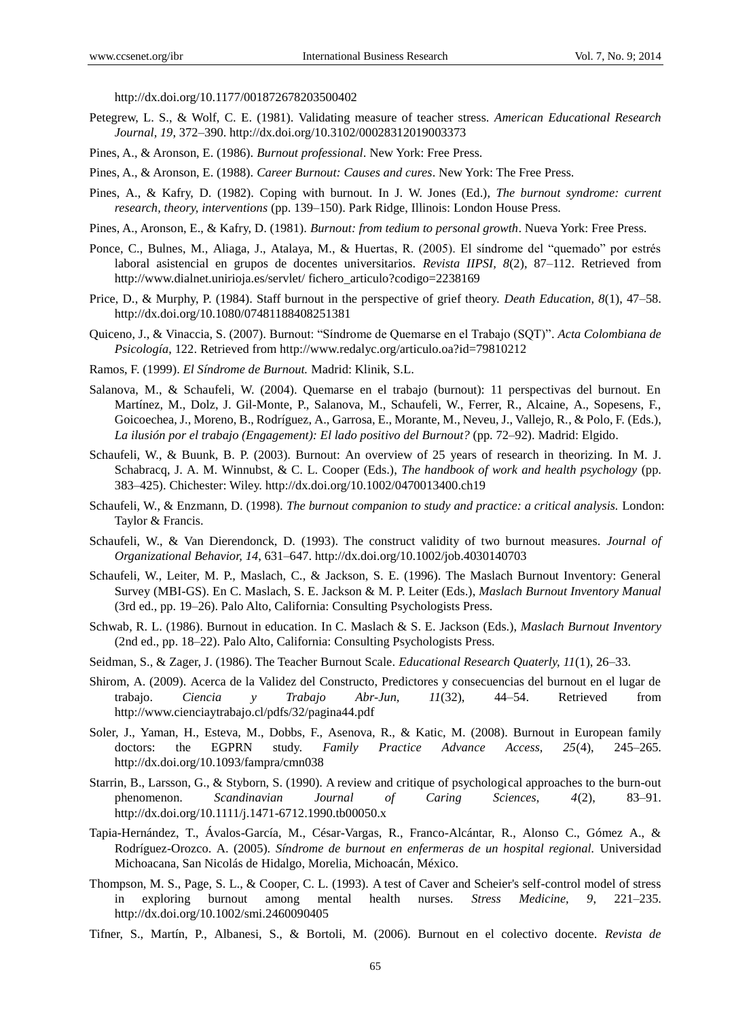http://dx.doi.org/10.1177/001872678203500402

- Petegrew, L. S., & Wolf, C. E. (1981). Validating measure of teacher stress. *American Educational Research Journal, 19*, 372–390. http://dx.doi.org/10.3102/00028312019003373
- Pines, A., & Aronson, E. (1986). *Burnout professional*. New York: Free Press.
- Pines, A., & Aronson, E. (1988). *Career Burnout: Causes and cures*. New York: The Free Press.
- Pines, A., & Kafry, D. (1982). Coping with burnout. In J. W. Jones (Ed.), *The burnout syndrome: current research, theory, interventions* (pp. 139–150). Park Ridge, Illinois: London House Press.
- Pines, A., Aronson, E., & Kafry, D. (1981). *Burnout: from tedium to personal growth*. Nueva York: Free Press.
- Ponce, C., Bulnes, M., Aliaga, J., Atalaya, M., & Huertas, R. (2005). El síndrome del "quemado" por estrés laboral asistencial en grupos de docentes universitarios. *Revista IIPSI, 8*(2), 87–112. Retrieved from http://www.dialnet.unirioja.es/servlet/ fichero\_articulo?codigo=2238169
- Price, D., & Murphy, P. (1984). Staff burnout in the perspective of grief theory. *Death Education, 8*(1), 47–58. http://dx.doi.org/10.1080/07481188408251381
- Quiceno, J., & Vinaccia, S. (2007). Burnout: "Síndrome de Quemarse en el Trabajo (SQT)". *Acta Colombiana de Psicología*, 122. Retrieved from http://www.redalyc.org/articulo.oa?id=79810212
- Ramos, F. (1999). *El Síndrome de Burnout.* Madrid: Klinik, S.L.
- Salanova, M., & Schaufeli, W. (2004). Quemarse en el trabajo (burnout): 11 perspectivas del burnout. En Mart nez, M., Dolz, J. Gil-Monte, P., Salanova, M., Schaufeli, W., Ferrer, R., Alcaine, A., Sopesens, F., Goicoechea, J., Moreno, B., Rodríguez, A., Garrosa, E., Morante, M., Neveu, J., Vallejo, R., & Polo, F. (Eds.), *La ilusión por el trabajo (Engagement): El lado positivo del Burnout?* (pp. 72–92). Madrid: Elgido.
- Schaufeli, W., & Buunk, B. P. (2003). Burnout: An overview of 25 years of research in theorizing. In M. J. Schabracq, J. A. M. Winnubst, & C. L. Cooper (Eds.), *The handbook of work and health psychology* (pp. 383–425). Chichester: Wiley. http://dx.doi.org/10.1002/0470013400.ch19
- Schaufeli, W., & Enzmann, D. (1998). *The burnout companion to study and practice: a critical analysis.* London: Taylor & Francis.
- Schaufeli, W., & Van Dierendonck, D. (1993). The construct validity of two burnout measures. *Journal of Organizational Behavior, 14*, 631–647. http://dx.doi.org/10.1002/job.4030140703
- Schaufeli, W., Leiter, M. P., Maslach, C., & Jackson, S. E. (1996). The Maslach Burnout Inventory: General Survey (MBI-GS). En C. Maslach, S. E. Jackson & M. P. Leiter (Eds.), *Maslach Burnout Inventory Manual* (3rd ed., pp. 19–26). Palo Alto, California: Consulting Psychologists Press.
- Schwab, R. L. (1986). Burnout in education. In C. Maslach & S. E. Jackson (Eds.), *Maslach Burnout Inventory*  (2nd ed., pp. 18–22). Palo Alto, California: Consulting Psychologists Press.
- Seidman, S., & Zager, J. (1986). The Teacher Burnout Scale. *Educational Research Quaterly, 11*(1), 26–33.
- Shirom, A. (2009). Acerca de la Validez del Constructo, Predictores y consecuencias del burnout en el lugar de trabajo. *Ciencia y Trabajo Abr-Jun, 11*(32), 44–54. Retrieved from http://www.cienciaytrabajo.cl/pdfs/32/pagina44.pdf
- Soler, J., Yaman, H., Esteva, M., Dobbs, F., Asenova, R., & Katic, M. (2008). Burnout in European family doctors: the EGPRN study. *Family Practice Advance Access, 25*(4), 245–265. http://dx.doi.org/10.1093/fampra/cmn038
- Starrin, B., Larsson, G., & Styborn, S. (1990). A review and critique of psychological approaches to the burn-out phenomenon. *Scandinavian Journal of Caring Sciences, 4*(2), 83–91. http://dx.doi.org/10.1111/j.1471-6712.1990.tb00050.x
- Tapia-Hernández, T., Ávalos-García, M., César-Vargas, R., Franco-Alcántar, R., Alonso C., Gómez A., & Rodríguez-Orozco. A. (2005). *Síndrome de burnout en enfermeras de un hospital regional.* Universidad Michoacana, San Nicolás de Hidalgo, Morelia, Michoacán, México.
- Thompson, M. S., Page, S. L., & Cooper, C. L. (1993). A test of Caver and Scheier's self-control model of stress in exploring burnout among mental health nurses. *Stress Medicine, 9*, 221–235. http://dx.doi.org/10.1002/smi.2460090405
- Tifner, S., Martín, P., Albanesi, S., & Bortoli, M. (2006). Burnout en el colectivo docente. *Revista de*